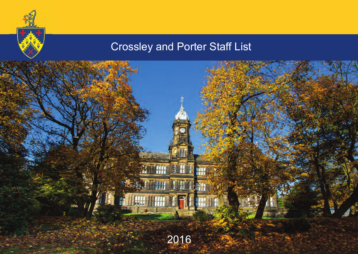

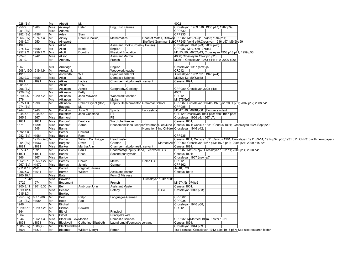| 1928 (By)           |                   | Ms                       | Abbott               | М.                    |                                       |                              |            |                      | 4002                                         |                                                          |                                                                       |                                                                                                             |
|---------------------|-------------------|--------------------------|----------------------|-----------------------|---------------------------------------|------------------------------|------------|----------------------|----------------------------------------------|----------------------------------------------------------|-----------------------------------------------------------------------|-------------------------------------------------------------------------------------------------------------|
| 1958/9              | 1960              | Miss                     | Ackroyd              | Helen                 | Eng, Hist, Games                      |                              |            |                      |                                              | Crossleyan 1959 p18; 1960 p47; 1962 p39;                 |                                                                       |                                                                                                             |
| 1951 (By)           |                   | <b>Miss</b>              | Adams                |                       |                                       |                              |            |                      | <b>CPP332</b>                                |                                                          |                                                                       |                                                                                                             |
| 1982 (By)           | > 1984            | Mr                       | Adey                 | Stan                  |                                       |                              |            |                      | CFP235                                       |                                                          |                                                                       |                                                                                                             |
| 1966 (By)           | 1974.7.X          | Mr                       | Ainley               | Derek (Chalkie)       | Mathematics                           |                              |            |                      |                                              | Head of Maths, Rishwo CPP082; M1974/5(1974)p3; 1994 p11; |                                                                       |                                                                                                             |
| 1946.9.X            | 1950              | Miss                     | Ainsworth            |                       |                                       |                              |            |                      |                                              |                                                          | Sheffield Grammar Sch CPP245; Vol 5 p49; Crosslyan 1946 p57; M9/50p59 |                                                                                                             |
| c1948               |                   | <b>Mrs</b>               | Aked                 |                       | Assistant Cook (Crossley House)       |                              |            |                      |                                              | Crossleyan 1998 p23; 2009 p26;                           |                                                                       |                                                                                                             |
| 1975.1.X            | >1984             | Ms                       | Allen                | Breda                 | English                               |                              |            |                      |                                              | CPP087; M1975/6(1975)p2                                  |                                                                       |                                                                                                             |
| 1952.9.X            | 1959.7.X          | Mrs                      | Allott               | Dorothy               | <b>Physical Education</b>             |                              |            |                      |                                              |                                                          |                                                                       | M1/53p20; M9/52p43; Crossleyan 1958 p18 p21; 1959 p56;                                                      |
| 1924.8              | 1942              | <b>Miss</b>              | Allsop               |                       | <b>Assistant Matron</b>               |                              |            |                      |                                              | 4056; Crossleyan 1942 p7; p26;                           |                                                                       |                                                                                                             |
| 1961.9.1            |                   | Mr                       | Anthony              |                       | French                                |                              |            |                      |                                              | M9/61; Crossleyan 1963 p14; p19; 2009 p20;               |                                                                       |                                                                                                             |
|                     |                   |                          |                      |                       |                                       |                              |            |                      |                                              |                                                          |                                                                       |                                                                                                             |
| 1967                |                   | <b>Mrs</b>               | Armitage             |                       | English                               |                              |            |                      |                                              | Crossleyan 1967 (new) p7;                                |                                                                       |                                                                                                             |
| 1908(c19001919.4.9) |                   | Mr                       | Arrowsmith           |                       | Woodwork teacher                      |                              |            |                      | CR012                                        |                                                          |                                                                       |                                                                                                             |
| c1913               |                   | Mr                       | Ashworth             | W.E.                  | Gym/Swedish drill                     |                              |            |                      |                                              | Crossleyan 1932 p21; 1948 p24;                           |                                                                       |                                                                                                             |
| 1952.9X             | > 1954            | Miss                     | Atkin                | M.                    | Domestic Science                      |                              |            |                      | M9/52p43; M9/53p48                           |                                                          |                                                                       |                                                                                                             |
| c1891               | c1891             | Miss                     | <b>Atkins</b>        | Louise                | Chambermaid/domestic servant          |                              |            |                      | Census 1891;                                 |                                                          |                                                                       |                                                                                                             |
| 1901.8.10           |                   | Mr                       | <b>Atkins</b>        | R.W.                  |                                       |                              |            |                      |                                              |                                                          |                                                                       |                                                                                                             |
| 1966 (By)           |                   | Mr                       | Atkinson             | Arnold                | Geography/Geology                     |                              |            |                      |                                              | CPP089; Crossleyan 2005 p18;                             |                                                                       |                                                                                                             |
| 1928(By)            |                   | Ms                       | Atkinson             | <b>Betty</b>          |                                       |                              |            |                      | 4002                                         |                                                          |                                                                       |                                                                                                             |
| 1919.2.5            | 1920.7.29 Mr      |                          | Atkinson             | John Mawson           | Woodwork teacher                      |                              |            |                      | <b>CR012</b>                                 |                                                          |                                                                       |                                                                                                             |
| 1976                |                   | Mrs                      | Atkinson             | N.                    | Maths                                 |                              |            |                      | M1975/6p3                                    |                                                          |                                                                       |                                                                                                             |
| 1975.1.X            | 1990              | Mr                       | Atkinson             | Robert Bryant (Bob)   | Deputy HeaNormanton Grammar School    |                              |            |                      |                                              |                                                          |                                                                       | CPP087; Crossleyan 1974/5(1975)p2; 2001 p31; 2002 p12; 2008 p41;                                            |
| 1974 (By)           |                   |                          | Baggett              | MM.                   |                                       |                              |            |                      | CPP085                                       |                                                          |                                                                       |                                                                                                             |
| 1944                | 1946              | Mr                       | <b>Bairstow</b>      | John G.               | Sports                                |                              | Lancashire |                      |                                              | M1/47p19; M9/46p68 Former student                        |                                                                       |                                                                                                             |
| 1944.5.10           | 1944.6.1          | $\overline{\mathsf{Mr}}$ | <b>Bairstow</b>      | John Gunstone         | $\overline{\textsf{PT}}$              |                              |            |                      |                                              | CR012; Crossleyan 1944 p43; p68; 1946 p68;               |                                                                       |                                                                                                             |
| 1965.9              | 1967              | Miss                     | Bamford              |                       | <b>PE</b>                             |                              |            |                      |                                              | Crossleyan 1966 p3; 1967 p7;                             |                                                                       |                                                                                                             |
| c1881               | c1881             | Miss                     | <b>Bancroft</b>      | Beatrice              | Wardrobe Keeper                       |                              |            |                      | Census 1881;                                 |                                                          |                                                                       |                                                                                                             |
| 1871                | >1891             | Miss                     | <b>Bancroft</b>      | Sarah                 |                                       |                              |            |                      |                                              |                                                          |                                                                       | Housemaid/linen keeeper/wardrobeDied June 2Census 1871; Census 1881; Census 1891; Crossleyan 1924 Sept p29; |
|                     | 1946              | <b>Miss</b>              | <b>Banks</b>         |                       |                                       |                              |            |                      | Home for Blind Children Crossleyan 1946 p42; |                                                          |                                                                       |                                                                                                             |
| 1892.7.X            |                   | Mr                       | <b>Barber</b>        | Howard                |                                       |                              |            |                      |                                              |                                                          |                                                                       |                                                                                                             |
| 1982 (By)           | > 1984            | Miss                     | Barber               | Pam                   |                                       |                              |            |                      | CFP235                                       |                                                          |                                                                       |                                                                                                             |
| 1872                | 1910 (died) $Mr$  |                          | <b>Barber</b>        | William Cambridge     | <b>Headmaster</b>                     |                              |            |                      |                                              |                                                          |                                                                       | Census 1881; Census 1891; Census 1901; Crossleyan 1911 p3-14; 1914                                          |
| 1964 $(By)$         | > 1967            | Miss                     | Bargetzi             | Dawn                  | German                                |                              |            |                      |                                              |                                                          |                                                                       | Married Alla CPP090; Crossleyan 1967 p43; 1973 p42; 2008 p27; 2009 p15 p21;                                 |
| c1891               | c1891             | Miss                     | <b>Barker</b>        | Martha Ann            | Chambermaid/domestic servant          |                              |            |                      | Census 1891;                                 |                                                          |                                                                       |                                                                                                             |
| 1977.4.19           | 1991              | Mr                       | <b>Barker</b>        | Paul F.               | Headmaste Deputy Head, Fleetwood G.S. |                              |            |                      |                                              |                                                          |                                                                       | CPP087; M1976/7p2; Crossleyan 1992 p1; 2000 p14; 2008 p41;                                                  |
| c1901               | c1901             | <b>Miss</b>              | Barlow               | Rose                  | Second pantrymaid                     |                              |            |                      | Census 1901;                                 |                                                          |                                                                       |                                                                                                             |
| 1966                | 1967              | Miss                     | Barlow               |                       |                                       |                              |            |                      |                                              | Crossleyan 1967 (new) p7;                                |                                                                       |                                                                                                             |
| 1952.9.1            | 1953.7.27         | Mr                       | <b>Barnes</b>        | Harold                | Maths                                 |                              | Colne G.S. |                      | CR012                                        |                                                          |                                                                       |                                                                                                             |
| 1967 $(By)$         | >1970             | <b>Miss</b>              | Barnes               | Jennie                | German                                |                              |            |                      | CPP362                                       |                                                          |                                                                       |                                                                                                             |
| 1911.8.11           | <b>WWI</b>        | Mr                       | <b>Barrett</b>       | <b>Reginald James</b> |                                       |                              |            |                      | J2-16; ROH                                   |                                                          |                                                                       |                                                                                                             |
| 1906.5.X            | >1911             | Mr                       | Barron               | William               | <b>Assistant Master</b>               |                              |            |                      | Census 1911;                                 |                                                          |                                                                       |                                                                                                             |
| 1900.10.1           |                   | <b>Miss</b>              | Bate                 |                       | Form 2 Mistress                       |                              |            |                      |                                              |                                                          |                                                                       |                                                                                                             |
| 1942                |                   | <b>Miss</b>              | Bawden               |                       |                                       |                              |            | Crossleyan 1942 p20; |                                              |                                                          |                                                                       |                                                                                                             |
| 1972?               | 1974              | Mr                       | Beaumont             |                       | French                                |                              |            |                      | M1974/5(1974)p2                              |                                                          |                                                                       |                                                                                                             |
| 1900.8.11           | 1901.6.30 Mr      |                          | Bell                 | Ambrose John          | <b>Assistant Master</b>               |                              |            |                      | Census 1901;                                 |                                                          |                                                                       |                                                                                                             |
| 1919.12.X           |                   | <b>Miss</b>              | Benson               |                       | Botany                                |                              |            | B.Sc.                | Crossleyan 1943 p83;                         |                                                          |                                                                       |                                                                                                             |
| 1915.8.X            |                   | Mr                       | <b>Berkley</b>       |                       |                                       |                              |            |                      |                                              |                                                          |                                                                       |                                                                                                             |
| 1957 (By)           | $\sqrt{8.7.1988}$ | Mr                       | <b>Best</b>          | Ralph                 | Languages/German                      |                              |            |                      | CPP082                                       |                                                          |                                                                       |                                                                                                             |
| 1981 (By)           | > 1984            | Mr                       | <b>Betts</b>         | Paul                  |                                       |                              |            |                      | CFP235                                       |                                                          |                                                                       |                                                                                                             |
| 1946                |                   | Mr                       | <b>Birchall</b>      |                       |                                       |                              |            |                      | Crossleyan 1946 p68;                         |                                                          |                                                                       |                                                                                                             |
| 1929.6.18           | 1929.7.26         | $\overline{\mathsf{Mr}}$ | <b>Bishop</b>        | Edward                |                                       |                              |            |                      | CR012                                        |                                                          |                                                                       |                                                                                                             |
| 1864                |                   | Mr                       | <b>Bithell</b>       |                       | Principal                             |                              |            |                      |                                              |                                                          |                                                                       |                                                                                                             |
| 1864                |                   | <b>Mrs</b>               | <b>Bithell</b>       |                       | Principal's wife                      |                              |            |                      |                                              |                                                          |                                                                       |                                                                                                             |
| 1944                | 1952.7.X          | <b>Miss</b>              | Black (m. Lew Monica |                       | Domestic Science                      |                              |            |                      |                                              | CPP332; MMarried 191m. Easter 1951                       |                                                                       |                                                                                                             |
| c1891               | c1891             | Miss                     | Blackwell            | Catherine Elizabeth   |                                       | Laundrymaid/domestic servant |            |                      | Census 1891;                                 |                                                          |                                                                       |                                                                                                             |
| 1885 (By)           | 1886(>)           | Mr                       | Blenkarn/Blen J.L.   |                       |                                       |                              |            |                      | Crossleyan 1944 p59                          |                                                          |                                                                       |                                                                                                             |
| 1860s               | >1871             | Mr                       | Bloomer              | William (Jerry)       | Porter                                |                              |            |                      |                                              |                                                          |                                                                       | 1871 census; Crossleyan 1912 p20; 1913 p87; See also research folder;                                       |
|                     |                   |                          |                      |                       |                                       |                              |            |                      |                                              |                                                          |                                                                       |                                                                                                             |

1914 p32; p83;1931 p11; CPP313 with newspaper a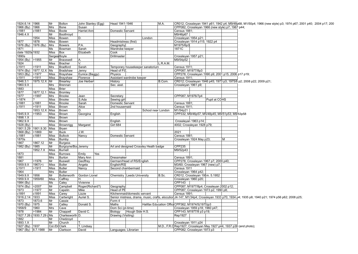| 1924.6.14 1966   |                          | Mr            | Bolton              | John Stanley (Egg) |     | Head 1941-1946       |                              |                                       | M.A.                                            |                      |                                |                                                     |   | CR012; Crossleyan 1941 p61; 1942 p4; M9/48p68, M1/50p4; 1966 (new                                                     |
|------------------|--------------------------|---------------|---------------------|--------------------|-----|----------------------|------------------------------|---------------------------------------|-------------------------------------------------|----------------------|--------------------------------|-----------------------------------------------------|---|-----------------------------------------------------------------------------------------------------------------------|
| 1966 (By)        | 1966                     | Mrs           | Bone                | Susan              |     |                      |                              |                                       |                                                 |                      |                                | CPP082; Crossleyan 1966 (new style) p7; 1967 p44;   |   |                                                                                                                       |
| c1881            | c1881                    | <b>Miss</b>   | Boote               | <b>Harriet Ann</b> |     | Domestic Servant     |                              |                                       |                                                 | Census 1881;         |                                |                                                     |   |                                                                                                                       |
| 1946.4.X         |                          | Mr            | Boothroyd           |                    |     |                      |                              |                                       |                                                 | M9/46p67             |                                |                                                     |   |                                                                                                                       |
|                  | 1954                     | <b>Miss</b>   | Bowen               | D.                 |     |                      |                              | London                                |                                                 |                      | Crossleyan 1954 p21;           |                                                     |   |                                                                                                                       |
| 1877             | 1878                     | <b>Miss</b>   | Bowen               |                    |     | Headmistress (first) |                              |                                       |                                                 |                      | Crossleyan 1914 p115; 1922 p4  |                                                     |   |                                                                                                                       |
| 1976 (By)        | 1976 (By)                | Mrs           | <b>Bowers</b>       | P.A.               |     | Geography            |                              |                                       |                                                 | M1975/6p3            |                                |                                                     |   |                                                                                                                       |
| 1871             |                          | Ms            | Bowman              | Sarah              |     | Wardrobe keeper      |                              |                                       |                                                 | 1871C                |                                |                                                     |   |                                                                                                                       |
| clate 1920s 1932 |                          | <b>Miss</b>   | Box                 | Elizabeth          |     | Cook                 |                              |                                       |                                                 |                      |                                |                                                     |   |                                                                                                                       |
| 1890s            |                          | Sergea Boyle  |                     |                    |     | <b>Drillmaster</b>   |                              |                                       |                                                 | Crossleyan 1957 p21; |                                |                                                     |   |                                                                                                                       |
| 1954 (By)        | >1955                    | Mr            | Bracewell           | A.                 |     |                      |                              |                                       |                                                 | M9/54p52             |                                |                                                     |   |                                                                                                                       |
|                  |                          | <b>Miss</b>   |                     | V.                 |     |                      |                              |                                       | L.R.A.M.                                        |                      |                                |                                                     |   |                                                                                                                       |
| 1924             |                          |               | Bracher             |                    |     |                      |                              |                                       |                                                 |                      |                                |                                                     |   |                                                                                                                       |
| c1911            | >1911                    | <b>Mrs</b>    | Bradford            | Sarah              |     |                      |                              | Temporary housekeeper sanatorium      |                                                 | Census 1911;         |                                |                                                     |   |                                                                                                                       |
| 1974 (By)        | 1977.12.X Ms             |               | Bradshaw            | Jenny              |     | Head of P.E.         |                              |                                       |                                                 | CPP087; M1977/8p3    |                                |                                                     |   |                                                                                                                       |
| 1953 (By)        | >1977                    | <b>Miss</b>   | Brayshaw            | Eunice (Baggy)     |     | Physics              |                              |                                       |                                                 |                      |                                | CPP278; Crossleyan 1990 p9; 2001 p15; 2006 p17 p19; |   |                                                                                                                       |
| c1911            | >1911                    | <b>Miss</b>   | Brayshaw            | Florence           |     |                      | Assistant wardrobe keeper    |                                       |                                                 | Census 1911;         |                                |                                                     |   |                                                                                                                       |
| 1946.3.1         | 1975.12.X Mr             |               | Brearley            | Joe Herbert        |     | <b>History</b>       |                              |                                       | B.Com.                                          |                      |                                |                                                     |   | CR012; Crossleyan 1946 p45; 1973 p3; 1975/6 p2; 2008 p22; 2009 p21;                                                   |
| 1960.9X          |                          | Mrs           | Brennan             |                    |     | Sec. asst.           |                              |                                       |                                                 | Crossleyan 1961 p9;  |                                |                                                     |   |                                                                                                                       |
| 1883             |                          | <b>Miss</b>   | Brier               |                    |     |                      |                              |                                       |                                                 |                      |                                |                                                     |   |                                                                                                                       |
| 1877             | 1877.12.1                | Miss          | <b>Bromley</b>      |                    |     |                      |                              |                                       |                                                 |                      |                                |                                                     |   |                                                                                                                       |
| 1977             | >1997                    | Mrs           | <b>Brooke</b>       | Jean               |     | Secretary            |                              |                                       |                                                 | CPP087; M1976/7p4    |                                |                                                     |   |                                                                                                                       |
| >1874            |                          | <b>Miss</b>   | Brooke              | S.Ada              |     | Sewing girl          |                              |                                       |                                                 |                      |                                | Pupil at COHS                                       |   |                                                                                                                       |
| c1881            | c1881                    | <b>Miss</b>   | <b>Brooke</b>       | Sarah              |     | Domestic Servant     |                              |                                       |                                                 | Census 1881;         |                                |                                                     |   |                                                                                                                       |
| c1911            | >1911                    | <b>Miss</b>   | Brown               | Alice              |     | 2nd housemaid        |                              |                                       |                                                 | Census 1911;         |                                |                                                     |   |                                                                                                                       |
|                  | 1953.12.X                | Miss          | <b>Brown</b>        | D.                 |     |                      |                              | School near London                    |                                                 | M1/54p21             |                                |                                                     |   |                                                                                                                       |
| 1945.9.X         | >1953                    | <b>Miss</b>   | Brown               | Georgina           |     | English              |                              |                                       |                                                 |                      |                                | CPP332; M9/46p57; M5/48p45; M9/51p53; M9/53p58      |   |                                                                                                                       |
| 1898.1.X         |                          | <b>Miss</b>   | Brown               |                    |     |                      |                              |                                       |                                                 |                      |                                |                                                     |   |                                                                                                                       |
| 1962.9.X         |                          | <b>Miss</b>   | Brown               |                    |     | English              |                              |                                       |                                                 |                      | Crossleyan 1963 p14;           |                                                     |   |                                                                                                                       |
| 1928 $(By)$      |                          | <b>Miss</b>   | Brownrigg           | Margaret           |     | <b>Girl 684</b>      |                              |                                       |                                                 |                      | 4002; Crossleyan 1928 p79;     |                                                     |   |                                                                                                                       |
| 1901.5.29        | 1901.9.30                | Miss          | Bryen               |                    |     |                      |                              |                                       |                                                 |                      |                                |                                                     |   |                                                                                                                       |
| 1868 (By)        | >1869                    | Mr            | <b>Buck</b>         | J.W.               |     |                      |                              |                                       |                                                 | 2021                 |                                |                                                     |   |                                                                                                                       |
| c1881            | c1881                    | <b>Miss</b>   | <b>Bullock</b>      | Nancy              |     | Domestic Servant     |                              |                                       |                                                 | Census 1881;         |                                |                                                     |   |                                                                                                                       |
| 1870s            |                          | <b>Miss</b>   | Bumby               |                    |     |                      |                              |                                       |                                                 |                      | Crossleyan 1924 May p23;       |                                                     | M |                                                                                                                       |
| 1867             | 1867.12                  | Mr            | Burgess             |                    |     |                      |                              |                                       |                                                 |                      |                                |                                                     |   |                                                                                                                       |
| 1982 $(By)$      | 1985                     | Mr            |                     |                    |     |                      |                              | Art and designed Crossley Heath badge |                                                 | CPP235               |                                |                                                     |   |                                                                                                                       |
|                  |                          |               | Burgoyne/Bou Jeremy |                    |     |                      |                              |                                       |                                                 |                      |                                |                                                     |   |                                                                                                                       |
|                  | 1952.7.X                 | <b>Miss</b>   | Burnell             |                    |     |                      |                              |                                       |                                                 | M9/52p43             |                                |                                                     |   |                                                                                                                       |
| 1873             |                          | <b>Miss</b>   | Burrows             | Emily              | Yes |                      |                              |                                       |                                                 |                      |                                |                                                     |   |                                                                                                                       |
| 1881             |                          | ∣Mrs          | Burton              | Mary Ann           |     | Dressmaker           |                              |                                       |                                                 | Census 1891;         |                                |                                                     |   |                                                                                                                       |
| 1967             | >1976                    | Mr            | Buswell             | Geoffrey           |     |                      | German/Head of RS/English    |                                       |                                                 |                      |                                | CPP278; Crossleyan 1967 p7; 2009 p40;               |   |                                                                                                                       |
| 1959.9X          | 1967(>)                  | <b>Miss</b>   | Butler              | Angela             |     | English/RS           |                              |                                       |                                                 |                      |                                | M3/60; Crossleyan 1967 (new) p7;                    |   |                                                                                                                       |
| c1911            | >1911                    | <b>Miss</b>   | Butler              | Nancy              |     |                      | Second chambermaid           |                                       |                                                 | Census 1911          |                                |                                                     |   |                                                                                                                       |
| 1964             |                          | Mrs           | Butler              |                    |     |                      |                              |                                       |                                                 | Crossleyan 1964 p42; |                                |                                                     |   |                                                                                                                       |
| 1949.9.X         | 1956                     | Mr            | Butterworth         | Gordon Lionel      |     | Chemistry            | <b>Leeds University</b>      |                                       | B.Sc.                                           |                      | CR012, Crossleyan 194m. 5.1952 |                                                     |   |                                                                                                                       |
| 1959.9X          | 1959/60                  | <b>Miss</b>   | Caffrey             | Н.                 |     |                      |                              |                                       |                                                 | Crossleyan 1960 p20; |                                |                                                     |   |                                                                                                                       |
| 1984 (By)        |                          | Ms            | Caley               | Vivienne           |     |                      |                              |                                       |                                                 | CPP143               |                                |                                                     |   |                                                                                                                       |
| 1974 (By)        | >2007                    | Mr            | Campbell            | Roger(Richard?)    |     | Geography            |                              |                                       |                                                 |                      |                                | CPP087; M1977/8p4; Crossleyan 2002 p12;             |   |                                                                                                                       |
| 1973             | >1977                    | Mr            | Capelin             | Mike               |     | Head of PE           |                              |                                       |                                                 |                      |                                | CPP087; Crossleyan 1973 p2; 1990 p8;                |   |                                                                                                                       |
| c1891            | c1891                    | Miss          | Carey               | Lizzie             |     |                      | Kitchenmaid/domestic servant |                                       |                                                 | Census 1891;         |                                |                                                     |   |                                                                                                                       |
| 1916.2.14        | 1933                     | <b>Miss</b>   | Cartwright          | Auriel S.          |     |                      |                              |                                       |                                                 |                      |                                |                                                     |   | Senior mistress, drama, music, crafts, elocution J4-147, M1/34p4; Crossleyan 1933 p70; 1934 p4; 1935 p8; 1940 p21; 19 |
| 1873             | 1873.6                   | Mr            | Cassie              |                    |     | Form 4               |                              |                                       |                                                 |                      |                                |                                                     |   |                                                                                                                       |
| 1970 (By)        | 1975                     | Mr            | Catley              | Donald S.          |     | Maths                |                              |                                       | Halifax Education Offic CPP362; M1974/5(1975)p3 |                      |                                |                                                     |   |                                                                                                                       |
| 1958/9           | 1960                     | Mrs           | Cave                |                    |     | Dom Sci (pt-time)    |                              |                                       |                                                 |                      | Crossleyan 1959 p18; 1960 p47; |                                                     |   |                                                                                                                       |
| 1978             | >1984                    | Mr            | Chappell            | David C.           |     | Biology              | Hough Side H.S.              |                                       |                                                 |                      | CPP143; M1977/8 p3 p19;        |                                                     |   |                                                                                                                       |
|                  | 1927.7.26 (1930.7.29 (Ms |               | Charlesworth D.     |                    |     | Drawing (Visiting)   |                              |                                       |                                                 | Rep1927              |                                |                                                     |   |                                                                                                                       |
| 1882             |                          | Mr            | Chedzoyd            |                    |     |                      |                              |                                       |                                                 |                      |                                |                                                     |   |                                                                                                                       |
| 1893.1.X         |                          | Mr            | Church              |                    |     |                      |                              |                                       |                                                 | Crossleyan 1911 p24  |                                |                                                     |   |                                                                                                                       |
| 1927 (By)        | 1937                     | Col./Dr Clark |                     | T. Lindsay         |     |                      |                              |                                       |                                                 |                      |                                |                                                     |   | M.D., F.R.ORep1927; Crossleyan May 1927 p44; 1937 p38 (and photo);                                                    |
| 1967 (By)        | 8.7.1988                 | Mr            | Clarkson            | David              |     | Languages; Librarian |                              |                                       |                                                 |                      | CPP082; Crossleyan 1973 p3     |                                                     |   |                                                                                                                       |
|                  |                          |               |                     |                    |     |                      |                              |                                       |                                                 |                      |                                |                                                     |   |                                                                                                                       |

ew style) p3; 1974 p67; 2001 p40; 2004 p17; 200

1974 p56 p62; 2008 p25;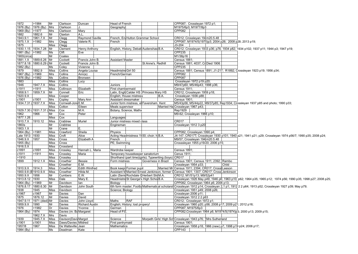| 1972                 | > 1984                     | Mr            | Clarkson              | Duncan                | Head of French       |                                 |                                          |                                                        |                      | CPP087; Crossleyan 1972 p1;                                                            |       |                                                                                                                                             |
|----------------------|----------------------------|---------------|-----------------------|-----------------------|----------------------|---------------------------------|------------------------------------------|--------------------------------------------------------|----------------------|----------------------------------------------------------------------------------------|-------|---------------------------------------------------------------------------------------------------------------------------------------------|
|                      | 1976 (By) 1976 (By) Mrs    |               | Clarkson              |                       | Geography            |                                 |                                          |                                                        |                      | M1975/6p3; M1977/8p3                                                                   |       |                                                                                                                                             |
| $1969 (By)$ > 1977   |                            | Mrs           | Clarkson              | Mary                  |                      |                                 |                                          |                                                        | <b>CPP082</b>        |                                                                                        |       |                                                                                                                                             |
| 1882                 | 1882.6                     | Mr            | Claxton               | A.L.                  |                      |                                 |                                          |                                                        |                      |                                                                                        |       |                                                                                                                                             |
| 1943.9.1             | 1961.7.X                   | Mr            | Clegg                 | Raymond Saville       |                      |                                 | French, En Hutton Grammar School         |                                                        |                      | CR012; Crossleyan 194m20.5.48                                                          |       |                                                                                                                                             |
| 1975.1.X             | > 1982                     | Mrs           | Clegg                 | Valerie R.            | French               |                                 |                                          |                                                        |                      | CPP087; M1974/5(1975)p3; 2004 p26; 2008 p28; 2013 p19;                                 |       |                                                                                                                                             |
| 1875                 |                            | Miss          | $ C$ legg             |                       |                      |                                 |                                          |                                                        | $J3-204$             |                                                                                        |       |                                                                                                                                             |
|                      | 1930.1.15 1934.7.28 Mr     |               | Clement               | <b>Henry Anthony</b>  |                      |                                 | English, History, Debati Audenshaw B.A.  |                                                        |                      |                                                                                        |       | CR012; Crossleyan 1933 p36; p76; 1934 p82; 1934 p102; 1937 p11; 1944 p3; 1947 p19;                                                          |
| 1981 (By) >1982      |                            | Ms            | Clift                 | Eve                   |                      |                                 |                                          |                                                        | CFP235               |                                                                                        |       |                                                                                                                                             |
| 1900(circa)          |                            | Mr            | Coates                |                       |                      |                                 |                                          |                                                        | M1/38p16             |                                                                                        |       |                                                                                                                                             |
|                      | 1881.1.X 1889.6.26 Mr      |               | Cockett               | Francis John B.       | Assistant Master     |                                 |                                          |                                                        | Census 1881;         |                                                                                        |       |                                                                                                                                             |
|                      | 1877.8.18 1880.6.29 (Mr    |               | Cockett               | Francis John B.       |                      |                                 | St Anne's. Redhill                       |                                                        |                      | Census 1881; 4037; Cr Died 1906                                                        |       |                                                                                                                                             |
| 1982 (By)            |                            | Ms            | Coley                 | Vivienne              |                      |                                 |                                          |                                                        | CFP235               |                                                                                        |       |                                                                                                                                             |
| 1879                 | 1892.9                     | Miss          | Collins               | Angela Louisa         | Headmistre Girl 50   |                                 |                                          |                                                        |                      |                                                                                        |       | Census 1881; Census 1891; J1-217; R1892; Crossleyan 1923 p19; 1956 p34;                                                                     |
| 1967 (By) >1969      |                            | Mrs           | Collins               | Ann(e)                | French/German        |                                 |                                          |                                                        | <b>CPP082</b>        |                                                                                        |       |                                                                                                                                             |
| 1976 (By)  >1982     |                            | Ms            | Collins               | Bronwen               |                      |                                 |                                          |                                                        | <b>CPP087</b>        |                                                                                        |       |                                                                                                                                             |
| 1883                 |                            | Miss          | Collins               |                       |                      |                                 |                                          |                                                        |                      | Crossleyan 1972 p19 p20;                                                               |       |                                                                                                                                             |
| 1946                 | 1947.7.X                   | Miss          | Collins               | Lucy                  |                      |                                 |                                          |                                                        |                      |                                                                                        |       |                                                                                                                                             |
|                      | > 1911                     |               |                       | Elizabeth             | Juniors              |                                 |                                          |                                                        |                      | M9/47p60; M5/46p43; 1998 p36;                                                          |       |                                                                                                                                             |
| c1911                |                            | Miss          | Collinson             |                       | First chambermaid    |                                 |                                          |                                                        | Census 1911;         |                                                                                        |       |                                                                                                                                             |
| 1958.9.1             | 1959.7.X                   | $\mathsf{Mr}$ | Connell               | Eric                  |                      |                                 | Latin, Engli Calder HS Princess Mary HS  |                                                        |                      | CR012; Crossleyan 1959 p18;                                                            |       |                                                                                                                                             |
| 1920.9.X             |                            | Miss          | Cooper                |                       |                      | English; House mistress         |                                          | B.A.                                                   |                      | Crossleyan 1936 p88;                                                                   |       |                                                                                                                                             |
| c1901                | c1901                      | Mrs           | Copley                | Mary Ann              | Assistant dressmaker |                                 |                                          |                                                        | Census 1901;         |                                                                                        |       |                                                                                                                                             |
| 1934.7.31 (1937.7.X) |                            | Miss          | Cornwall-Jone E.M.    |                       |                      |                                 | Junior form mistress, el Faversham, Kent |                                                        |                      |                                                                                        |       | M5/43p56; M5/44p22, M9/37p85; Rep1934; Crossleyan 1937 p85 and photo; 1990 p33;                                                             |
|                      |                            | Miss          | Cotton                | Eileen                | Meals supervisor     |                                 |                                          | Married Ha Crossleyan 1967 p43;                        |                      |                                                                                        |       |                                                                                                                                             |
|                      | 1929.7.30 (1931.7.31 (Miss |               | $ C$ ox               | M.H.                  |                      | Botany, Science, Maths          |                                          |                                                        | <b>Rep1929</b>       |                                                                                        |       |                                                                                                                                             |
| 1962                 | 1966                       | Mr            | $ C$ ox               | Peter                 |                      |                                 |                                          |                                                        |                      | M9-62; Crossleyan 1966 p10;                                                            |       |                                                                                                                                             |
| 1877.1.26            |                            | Miss          | $ C$ ox               |                       | Languages            |                                 |                                          |                                                        |                      |                                                                                        |       |                                                                                                                                             |
| 1910.7.X             | 1910.12                    | Miss          | Crabtree              | Muriel                |                      | Junior mistress mixed class     |                                          |                                                        | CR017                |                                                                                        |       |                                                                                                                                             |
| 1860s                |                            | Mr            | Crabtree              |                       | Engineman            |                                 |                                          |                                                        |                      | Crossleyan 1912 3 p20                                                                  |       |                                                                                                                                             |
| 1903.1.X             |                            | Mr            | Crane                 | Ε.                    |                      |                                 |                                          |                                                        |                      |                                                                                        |       |                                                                                                                                             |
| 1964 (By) >1981      |                            | Miss          | <b>Crawford</b>       | Sheila                | Physics              |                                 |                                          |                                                        |                      | CPP082; Crossleyan 1990 p4;                                                            |       |                                                                                                                                             |
| Late 1913   1930     |                            | Miss          | Croft                 | Alice                 |                      |                                 | Acting Headmistress 1930; choir; h B.A.  |                                                        |                      |                                                                                        |       | J4-147; CR017T; Crossleyan 1930 p101; 1940 p21; 1941 p21; p29; Crossleyan 1974 p56/7; 1990 p35; 2008 p24;                                   |
| 1946.9.X             | 1957                       | Miss          | Cross                 | Elizabeth A           | French               |                                 |                                          |                                                        |                      | M9/57; Crossleyan 194 m20.5.48                                                         |       |                                                                                                                                             |
| 1955 (By)            |                            | Miss          | Cross                 |                       | PE; Swimming         |                                 |                                          |                                                        |                      | Crosssleyan 1955 p19/20; 2006 p15;                                                     |       |                                                                                                                                             |
| 1916.5.X             |                            | Miss          | Crossland             |                       |                      |                                 |                                          |                                                        |                      |                                                                                        |       |                                                                                                                                             |
| c1891                | c1891                      | Miss          | <b>Crossley</b>       | Hannah L. Maria       | Wardrobe keeper      |                                 |                                          |                                                        | Census 1891;         |                                                                                        |       |                                                                                                                                             |
| c1911                | > 1911                     | Mrs           | <b>Crossley</b>       | Maria                 |                      |                                 | Temporary housekeeper sanatorium         |                                                        | Cenus 1911;          |                                                                                        |       |                                                                                                                                             |
| >1910                |                            | Miss          | <b>Crossley</b>       |                       |                      |                                 |                                          | Shorthand (part time)(girls); Typewriting (boys) CR017 |                      |                                                                                        |       |                                                                                                                                             |
| 1899                 | 1912.1.X                   | Miss          | Crowther              | Bessie                | Form mistress        |                                 | Governess in Brazil                      |                                                        |                      | Census 1901; Census 1911; 2392; Rambo                                                  |       |                                                                                                                                             |
|                      |                            | Miss          | Crowther              | E.M.                  |                      |                                 |                                          |                                                        |                      | Crossleyan 1954 p33;                                                                   | Child |                                                                                                                                             |
| 1910.9.X 1914.3      |                            | Miss          | <b>Crowther</b>       | <b>Edith Winifred</b> |                      | Book keepi Former pupil         |                                          |                                                        |                      | Married Mr Census 1911; 2394; CR017; Cross Leeson                                      |       |                                                                                                                                             |
| 1900.9.8 (B1910.9.X) |                            | Miss          | Crowther              | Hilda M.              |                      |                                 |                                          |                                                        |                      | Assistant MMarried Ernest Jenkinson, former CCensus 1901; 1307; CR017; Cross Jenkinson |       |                                                                                                                                             |
| 1950.9.X 1956        |                            | Mr            | Cumbers               | E.W.                  |                      |                                 | Latin (SenioRochdale GHerbert StroM.A.   |                                                        |                      | CR012; M1/51p13; M9/52p41                                                              |       |                                                                                                                                             |
| 1913.8.12 1930       |                            | Miss          | $\vert$ Dale          | Mary E.               |                      |                                 | Headmistre St George's High School B.A.  |                                                        |                      |                                                                                        |       | Crossleyan 1926 May p49; 1946 p6; 1963 p10; p62; 1964 p35; 1965 p12; 1974 p56; 1990 p35; 1998 p27; 2008 p25;                                |
| 1964 (By)   > 1969   |                            | Mr            | Davidson              | lan                   | Biology              |                                 |                                          |                                                        |                      | CPP082; Crossleyan 1964 p6; 2006 p13;                                                  |       |                                                                                                                                             |
|                      | 1876.8.17   1880.6.30 Mr   |               | Davidson              | John South            |                      |                                 |                                          |                                                        |                      |                                                                                        |       | 6th form master; FootbaMathematical scholarsh Crossleyan 1912 p14; Crossleyan 2,1 p1; 1912 2 2 p64; 1913 p52; Crossleyan 1927 p39; May p79; |
| 1938                 | 1945                       | Miss          | Davidson              |                       | Science; Biology     |                                 |                                          |                                                        |                      | Crossleyan 1951 p49; 2008 p26;                                                         |       |                                                                                                                                             |
| c1967                | c1967                      | Mr            |                       | Dan                   |                      |                                 |                                          |                                                        |                      |                                                                                        |       |                                                                                                                                             |
| 1875                 | 1876.12                    | Mr            | Davies<br>Davies      | David                 |                      |                                 |                                          |                                                        | Crossleyan 2006 p11; |                                                                                        |       |                                                                                                                                             |
|                      |                            |               |                       |                       |                      |                                 |                                          |                                                        |                      | Crossleyan 1912 2 2 p63                                                                |       |                                                                                                                                             |
| 1947.9.11            | 1971 (died) Mr             |               | Davies                | John Lloyd            | Maths                | <b>RAF</b>                      |                                          |                                                        |                      | CR012; Crossleyan 1972 p1;                                                             |       |                                                                                                                                             |
| 1959.9.X             | 1990                       | Mr            | Davies                | <b>Richard Austin</b> |                      | English; History; lost propery! |                                          |                                                        |                      | Crossleyan 1960 p20; p56; 2008 p17; 2009 p21; 2012 p16;                                |       |                                                                                                                                             |
| 1976                 | >1982                      | Dr            | Davies                | Yvonne                | German               |                                 |                                          |                                                        | CPP087; M1975/6p3    |                                                                                        |       |                                                                                                                                             |
| 1964 (By) 1974       |                            | Miss          | Davies (m. BaMargaret |                       | Head of P.E.         |                                 |                                          |                                                        |                      | CPP082;Crossleyan 1964 p6; M1974/5(1974)p3; 2000 p13; 2009 p15;                        |       |                                                                                                                                             |
|                      | 1962.7.X                   | <b>Mrs</b>    | Davis                 |                       |                      |                                 |                                          |                                                        |                      |                                                                                        |       |                                                                                                                                             |
| 1939                 | 1945.7.X                   | Miss          | Davison (David Margot |                       | Science              |                                 |                                          |                                                        |                      | Morpeth Girls' High Sch Crossleyan 1943 p76; 1Mrs Sutherland                           |       |                                                                                                                                             |
| c1901                | c1901                      | Miss          | Daws/Davies Mildred   |                       | First pantrymaid     |                                 |                                          |                                                        | Census 1901;         |                                                                                        |       |                                                                                                                                             |
| 1957/8               | 1967                       | Miss          | De Watteville Jean    |                       | Mathematics          |                                 |                                          |                                                        |                      | Crossleyan 1958 p18; 1966 (new) p7; 1998 p19 p24; 2006 p17;                            |       |                                                                                                                                             |
| 1984 (By)            |                            | Ms            | Deadman               | Kate                  |                      |                                 |                                          |                                                        | CPP143               |                                                                                        |       |                                                                                                                                             |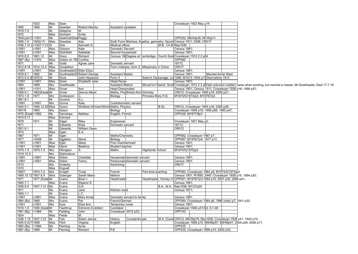|                         | 1923                       | Miss!                    | $\overline{Dean}$          |                       |                                       |                                            |                         |                                                                        | Crossleyan 1923 May p14        |                                                      |                                                                                                                        |
|-------------------------|----------------------------|--------------------------|----------------------------|-----------------------|---------------------------------------|--------------------------------------------|-------------------------|------------------------------------------------------------------------|--------------------------------|------------------------------------------------------|------------------------------------------------------------------------------------------------------------------------|
| 1955                    | 1958                       | Mr                       | Dearden                    | <b>Robert Allanby</b> | Assistant caretaker                   |                                            |                         |                                                                        |                                |                                                      |                                                                                                                        |
| 1919.7.X                |                            | Mr                       | Delepine                   | M.                    |                                       |                                            |                         |                                                                        |                                |                                                      |                                                                                                                        |
| 1872                    |                            | <b>Miss</b>              | Denham                     | Emily                 |                                       |                                            |                         |                                                                        |                                |                                                      |                                                                                                                        |
| 1944(Jan?) > 1951       |                            | Ms                       | Dewhirst/Dew Peggy         |                       |                                       |                                            |                         |                                                                        | CPP332; M5/44p38, M1/50p11     |                                                      |                                                                                                                        |
| 1906.1.X 1920(>?)       |                            | Miss                     | Dewstoe                    | Ada                   |                                       |                                            |                         | Sixth Form Mistress; Algebra, geometry; Secon Census 1911; 2398; CR017 |                                |                                                      |                                                                                                                        |
|                         | 1936.7.31 (>1937.7.31 Dr   |                          | Dick                       | Kenneth S.            | Medical officer                       |                                            |                         | M.B., Ch.B. Rep1936                                                    |                                |                                                      |                                                                                                                        |
| c1881                   | c1881                      | <b>Miss</b>              | Dickson                    | Kate                  | <b>Domestic Servant</b>               |                                            |                         |                                                                        | Census 1881;                   |                                                      |                                                                                                                        |
| c1901                   | c1091                      | Miss                     | Ditchfield                 | Adelaide              | Second housemaid                      |                                            |                         |                                                                        | Census 1901;                   |                                                      |                                                                                                                        |
| 1876.8.X 1881.12        |                            | $\overline{\mathsf{Mr}}$ | Dixon                      | Richard               |                                       |                                            |                         | Census 18 Degree at Cambridge; Church Sout Crossleyan 1912 2 2 p64     |                                |                                                      |                                                                                                                        |
| 1967 (By)   > 1970      |                            | Miss                     | Dobbs (m. Ril Cynthia      |                       |                                       |                                            |                         |                                                                        | CPP082                         |                                                      |                                                                                                                        |
| 1871                    |                            | Ms                       | Dodd                       | Agnes Jane            | Domestic servant                      |                                            |                         |                                                                        | 1871C                          |                                                      |                                                                                                                        |
|                         | 1912.8.16 1914.12.X Miss   |                          | Donaldson                  |                       |                                       | Form mistress, form 3; Missionary in China |                         |                                                                        | CR017                          |                                                      |                                                                                                                        |
| c1891                   | c1891                      | <b>Miss</b>              | Douthwaite/D Ellen Eliza   |                       |                                       |                                            |                         |                                                                        | Census 1891;                   |                                                      |                                                                                                                        |
| 1879.8.1                | 1882                       | Mr                       | Douthwaite/D Robert George |                       | <b>Assistant Master</b>               |                                            |                         |                                                                        | Census 1881;                   | <b>Married Annie West</b>                            |                                                                                                                        |
| 1873.5.X (E1876.6       |                            | Mr                       | Dove                       |                       | Form 3                                |                                            |                         | Sailor's Orphanage, Liv 1268; M1912; 1944 p10 Died before 1912         |                                |                                                      |                                                                                                                        |
|                         |                            |                          |                            | John Heywood          | <b>Head Nurse</b>                     |                                            |                         |                                                                        |                                |                                                      |                                                                                                                        |
| c1091                   | c1901                      | Miss                     | Down                       | Elizabeth Jane        |                                       |                                            |                         |                                                                        | Census 1901;                   |                                                      |                                                                                                                        |
| 1884                    | 1899                       | Mrs                      | Dowthwaite                 |                       | <b>Assistant Matron</b>               |                                            |                         |                                                                        |                                |                                                      | Moved to Hawick, Scotl Crossleyan 1912 2 2 pd Had unknown maiden name when working, but married a master, Mr Dowthwait |
| c1901                   | $\sqrt{>1911}$             | Miss                     | Driver                     | Ann                   | <b>Head Dressmaker</b>                |                                            |                         |                                                                        |                                |                                                      | Census 1901; Census 1911; Crossleyan 1938 p16; 1958 p57;                                                               |
| 1958.9.1                | 1962(Easte Mr              |                          | Driver                     | Dennis Albert         |                                       | Maths, Phy Bristol Aircr Grimsby           |                         |                                                                        |                                | CR012; Crossleyan 1959 p18; 2009 p21;                |                                                                                                                        |
| 1974.1.X                | 1977                       | Mrs                      | Dunkeyson                  | IC.                   | Biology                               |                                            | Princess Mary H.S.      |                                                                        | M1974/5(1974)p3; M1976/7p3     |                                                      |                                                                                                                        |
| 1881.8.1                |                            | Mr                       | Dunmur                     | A.L.                  |                                       |                                            |                         |                                                                        |                                |                                                      |                                                                                                                        |
| c1891                   | c1891                      | Mrs                      | Dunne                      | Kate                  |                                       | Cook/domestic servant                      |                         |                                                                        |                                |                                                      |                                                                                                                        |
| 1944.9.1                | 1946.12.20 Miss            |                          | Dyson                      |                       | Winifred (Winner/Winni Maths, Physics |                                            |                         | B.Sc.                                                                  |                                | CR012; Crossleyan 1945 p16; 2008 p26;                |                                                                                                                        |
| 1957/8                  | 1960                       | Mrs                      | Dyson                      |                       | Biology                               |                                            |                         |                                                                        |                                | Crossleyan 1958 p18; 1959 p56; 1960 p47;             |                                                                                                                        |
| 1978 (East > 1982       |                            | Ms                       | Earnshaw                   | Alethea               | English, French                       |                                            |                         |                                                                        | CPP235; M1977/8p3              |                                                      |                                                                                                                        |
| 1915.8.11               |                            | <b>Miss</b>              | Eckroyd                    |                       |                                       |                                            |                         |                                                                        |                                |                                                      |                                                                                                                        |
| 1878                    | 1911                       | Mr                       | Edgar                      | Riley                 | Engineman                             |                                            |                         |                                                                        | Crossleyan 1921 May p2;        |                                                      |                                                                                                                        |
| 1871                    |                            | Ms                       | Edwards                    | Eliza                 | Domestic servant                      |                                            |                         |                                                                        | 1871C                          |                                                      |                                                                                                                        |
| 1951.9.1                |                            | Mr                       | Edwards                    | <b>William Owen</b>   |                                       |                                            |                         |                                                                        | <b>CR012</b>                   |                                                      |                                                                                                                        |
| 1874                    |                            | Miss                     | Egan                       | E.A.                  |                                       |                                            |                         |                                                                        |                                |                                                      |                                                                                                                        |
| 1967                    | 1971                       | Mr                       | Egan                       |                       | Maths/Chemistry                       |                                            |                         |                                                                        | CPP082; Crossleyan 1967 p7;    |                                                      |                                                                                                                        |
| 1977                    | >2008                      | Mr                       | Eggleton                   | Steve                 | Biology                               |                                            |                         |                                                                        | CPP087; M1976/7p4; 1977 p17;   |                                                      |                                                                                                                        |
| c1901                   | c1901                      | Miss                     | Eglin                      | Maria                 | First chambermaid                     |                                            |                         |                                                                        | Census 1901;                   |                                                      |                                                                                                                        |
| c1901                   | c1901                      | Miss                     | Eland                      | Beatrice              | Student teacher                       |                                            |                         |                                                                        | Census 1901;                   |                                                      |                                                                                                                        |
| 1975.1.X                | 1975.7.X                   | Mrs                      | Elkington                  | IS.                   | Maths                                 |                                            | <b>Highlands School</b> |                                                                        | M1974/5(1975)p3                |                                                      |                                                                                                                        |
| 1919.12.X               |                            | Mrs                      | Elphinstone                |                       |                                       |                                            |                         |                                                                        |                                |                                                      |                                                                                                                        |
| c1891                   | $ c1891\rangle$            |                          | Miss Elston                | Charlotte             |                                       | Housemaid/domestic servant                 |                         |                                                                        | Census 1891;                   |                                                      |                                                                                                                        |
|                         |                            |                          |                            |                       |                                       | Pantrymaid/domestic servant                |                         |                                                                        |                                |                                                      |                                                                                                                        |
| c1891                   | c1891                      | Miss                     | Elston                     | Fanny                 |                                       |                                            |                         |                                                                        | Census 1891;                   |                                                      |                                                                                                                        |
| 1913                    |                            | Mrs                      | Enderby                    |                       | Swimming                              |                                            |                         |                                                                        | <b>CR017</b>                   |                                                      |                                                                                                                        |
| 1915                    |                            | Miss                     | Engvall                    |                       |                                       |                                            |                         |                                                                        |                                |                                                      |                                                                                                                        |
| 1965?                   | 1974.7.X                   | Mrs                      | Enright                    | Trudy                 | French                                |                                            | Part-time teaching      |                                                                        |                                | CPP082; Crossleyan 1964 p6; M1974/5(1974)p2          |                                                                                                                        |
|                         | 1899.10.12 1907.9.X   Miss |                          | Esberger                   | Sarah Maria           | Matron                                |                                            |                         |                                                                        |                                |                                                      | Census 1901; R1890; 2440; Crossleyan 1938 p15; 1994 p30;                                                               |
| 1971                    | ∣1977 (East(Mr             |                          | Evans                      | Brian I               | Headmaster                            |                                            |                         | Headmaster, Honley H. CPP091; M1976/7p3;1994 p10; 2001 p32; 2008 p41;  |                                |                                                      |                                                                                                                        |
| 1890.7.1                |                            | Miss                     | Evans                      | Eleanor E.            |                                       |                                            |                         |                                                                        | Census 1891;                   |                                                      |                                                                                                                        |
| 1936.9.X                | 1937.7.31 (Ms              |                          | Evans                      | G.E.                  |                                       |                                            |                         | B.A., M.A.   Rep1936; M1/37p24                                         |                                |                                                      |                                                                                                                        |
| 1871                    |                            | Ms                       | Evans                      | Jane                  | Kitchen maid                          |                                            |                         |                                                                        | Census 1871;                   |                                                      |                                                                                                                        |
| 1900.1.1                |                            | Mr                       | Evans                      | L.C.                  |                                       |                                            |                         |                                                                        |                                |                                                      |                                                                                                                        |
| c1881                   | c1881                      | Miss                     | Evans                      | Mary Annie            |                                       | Domestic servant to family                 |                         |                                                                        | Census 1881;                   |                                                      |                                                                                                                        |
| 1964 (By) $\sqrt{1966}$ |                            | Mrs                      | Evans                      | Pat                   | French/German                         |                                            |                         |                                                                        |                                | CPP084; Crossleyan 1964 p6; 1966 (new) p7; 2001 p32; |                                                                                                                        |
| c1901                   | c1901                      | Mrs                      | $E$ yre                    | Eliza Ann             | Temporary nurse                       |                                            |                         |                                                                        | Census 1901;                   |                                                      |                                                                                                                        |
|                         | 1916.1.X 1946 (East        |                          | Fawthrop                   | Edmond (Cobbler)      | Caretaker                             |                                            |                         |                                                                        | Crossleyan 1946 p31/3d. 6.1.48 |                                                      |                                                                                                                        |
| 1981 (By)   > 1984      |                            | Mr                       | Fielding                   | John                  |                                       | Crossleyan 2012 p23;                       |                         |                                                                        | CPP143                         |                                                      |                                                                                                                        |
| 1924                    |                            | Miss                     | Fields                     | M.                    |                                       |                                            |                         |                                                                        |                                |                                                      |                                                                                                                        |
|                         | 1936.1.15 1937.7.27 Mr     |                          | Fish                       | Edwin James           | History                               | Constantinople                             |                         |                                                                        |                                |                                                      | M.A. (Canta CR012; M5/36p79; Rep1936; Crossleyan 1936 p41; 1942 p12;                                                   |
| 1945.9.X(?1958          |                            | <b>Miss</b>              | Fitch                      | Virginia              | English                               |                                            |                         |                                                                        |                                |                                                      | Crossleyan 1958 p72; M9/46p57, M5/49p41; 2005 p26; 2006 p17;                                                           |
| 1982 (By)  >1984        |                            | Ms                       | Fleming                    | Anne                  |                                       |                                            |                         |                                                                        | $\mathsf{CPP235}$              |                                                      |                                                                                                                        |
| 1981 (By) 1998          |                            | Mr                       | Fleming                    | Richard               | P.E.                                  |                                            |                         |                                                                        |                                | CPP235; Crossleyan 1998 p10; 2000 p32;               |                                                                                                                        |
|                         |                            |                          |                            |                       |                                       |                                            |                         |                                                                        |                                |                                                      |                                                                                                                        |

but married a master, Mr Dowthwaite; Died 17.7.19: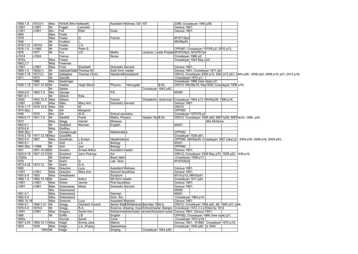| 1888.1.X       | $\sqrt{1912}$ (>) | Miss                     | <b>Flintoft (Mrs Hallewell)</b> |                        | Assistant Mistress; Girl 107 |           |                                              |       |                                             | 2396; Crossleyan 1940 p58;      |                                                               |                                                                           |
|----------------|-------------------|--------------------------|---------------------------------|------------------------|------------------------------|-----------|----------------------------------------------|-------|---------------------------------------------|---------------------------------|---------------------------------------------------------------|---------------------------------------------------------------------------|
| c1891          | c1891             | Mr                       | Foggin                          | Lancelot               |                              |           |                                              |       | Census 1891;                                |                                 |                                                               |                                                                           |
| c1901          | c1901             | <b>Mrs</b>               | Foll                            | Ellen                  | Cook                         |           |                                              |       | <b>Census 1901;</b>                         |                                 |                                                               |                                                                           |
| 1884           |                   | <b>Miss</b>              | Foote                           |                        |                              |           |                                              |       |                                             |                                 |                                                               |                                                                           |
| 1978           |                   | <b>Miss</b>              | Foster                          | G.                     | French                       |           |                                              |       | M1977/8p3                                   |                                 |                                                               |                                                                           |
| 1946           |                   | Mr                       | Foulkes                         |                        |                              |           |                                              |       | M5/46p45                                    |                                 |                                                               |                                                                           |
| 1878.7.31      | 1879.6            | Mr                       | Fowler                          | J.H.                   |                              |           |                                              |       |                                             |                                 |                                                               |                                                                           |
| 1976.1.X       | > 1982            | Mr                       | Fowler                          | Peter S.               |                              |           |                                              |       |                                             |                                 | CPP087; Crossleyan 1975/6 p2; 2002 p12;                       |                                                                           |
| 1976           | 1977              | Mr                       | Fox                             | J.E.                   | Maths                        |           |                                              |       | Lecturer, Leeds PolytedM1975/6p3; M1976/7p4 |                                 |                                                               |                                                                           |
| c1914          | c1924             |                          | France                          |                        | <b>Nurse</b>                 |           |                                              |       | Crossleyan 1966 p2;                         |                                 |                                                               |                                                                           |
| 1870s          |                   | <b>Miss</b>              | Fraser                          |                        |                              |           |                                              |       |                                             | Crossleyan 1924 May p23;        |                                                               |                                                                           |
| 1883.2.7       |                   | <b>Miss</b>              | Freeman                         |                        |                              |           |                                              |       |                                             |                                 |                                                               |                                                                           |
| c1881          | c1881             | <b>Miss</b>              | Frost                           | Elizabeth              | Domestic Servant             |           |                                              |       | Census 1881;                                |                                 |                                                               |                                                                           |
| 1888.1.X       |                   | Mr                       | Gabbatt/Gabb Thomas M.          |                        | Sixth form master            |           |                                              |       |                                             |                                 | Census 1891; Crossleyan 1911 p24                              |                                                                           |
| 1948.7.16      | 1892(>)           | Mr                       |                                 |                        |                              |           |                                              |       |                                             |                                 |                                                               |                                                                           |
|                | 1977(>)           |                          | Gallagher                       | Thomas (Tom)           | Handicraft/woodwork          |           |                                              |       |                                             |                                 |                                                               | CR012; Crossleyan 2000 p12; 2002 p12 p51; 2004 p26; 2008 p22; 2009 p19; p |
| 1971           | 1972              | Mr                       | Garnett                         |                        |                              |           |                                              |       | Crossleyan 1972 p1;                         |                                 |                                                               |                                                                           |
|                | 1966              | <b>Mrs</b>               | Gaukroger                       |                        |                              |           |                                              |       |                                             | Crossleyan 1966 (new style) p7; |                                                               |                                                                           |
| 1936.1.15      | 1937.12.20 Mr     |                          | Geekie                          | Hugh Stiven            | <b>Physics</b>               | Harrogate |                                              | B.Sc. |                                             |                                 | CR012; M5/36p79; Rep1936; Crossleyan 1936 p79;                |                                                                           |
|                |                   | Mr                       | Geikie                          |                        |                              |           | Crossleyan 1942 p42;                         |       |                                             |                                 |                                                               |                                                                           |
| 1959.9X        | 1962.7.X          | Mrs                      | George                          |                        | P.E.                         |           |                                              |       | M3/60                                       |                                 |                                                               |                                                                           |
| 1881.8.1       |                   | Mr                       | Gibson                          | Edw.                   |                              |           |                                              |       |                                             |                                 |                                                               |                                                                           |
| 1939)          | 1943.12.X Miss    |                          | Gibson                          |                        | French                       |           |                                              |       |                                             |                                 | Chadderton Grammar § Crossleyan 1944 p13; M5/44p39; 1990 p14; |                                                                           |
| c1881          | c1881             | <b>Miss</b>              | Gilks                           | Mary Ann               | Domestic Servant             |           |                                              |       | Census 1881;                                |                                 |                                                               |                                                                           |
| 1918.1.17      | 1918.12.X Miss    |                          | $ $ Gill                        | М.                     |                              |           |                                              |       | <b>CR012</b>                                |                                 |                                                               |                                                                           |
| 1974 (By)      |                   | Ms                       | $ $ Gill                        | Margaret               |                              |           |                                              |       | <b>CPP085</b>                               |                                 |                                                               |                                                                           |
| 1946           | 1975              | Mrs                      | $ $ Gill                        | W.G.                   | School secretary             |           |                                              |       |                                             | Crossleyan 1975/76 p2;          |                                                               |                                                                           |
| 1946.9.11      | $1951.7 \times$   | Mr                       | Gledhill                        | Frank                  | Maths, Physics               |           | Yeadon TedB.Sc.                              |       |                                             |                                 |                                                               | CR012; Crossleyan 1946 p62; M9/51p54; M9/55p33; 1956 p34;                 |
| 1872           |                   | <b>Miss</b>              | Glegg                           | Harriet                | <b>Mistress</b>              |           |                                              |       |                                             |                                 | Mrs McGorie                                                   |                                                                           |
| 1960.9.1       |                   | Mr                       | Goddard                         | Norman                 | English                      |           |                                              |       | M3/61                                       |                                 |                                                               |                                                                           |
| 1878.8.8       |                   | <b>Miss</b>              | Godfrey                         |                        |                              |           |                                              |       |                                             |                                 |                                                               |                                                                           |
| 1969 (By)      |                   | Mr                       | Goodenough                      |                        | <b>Mathematics</b>           |           |                                              |       | <b>CPP082</b>                               |                                 |                                                               |                                                                           |
| 1916.3.19      | 1917.12.18 Miss   |                          | Goodliffe                       |                        |                              |           |                                              |       | Crossleyan 1928 p61;                        |                                 |                                                               |                                                                           |
| 1955.9.X       | 1967              | <b>Miss</b>              | Goodman                         | L.Evelyn               | <b>Headmistress</b>          |           |                                              |       |                                             |                                 |                                                               | CPP090, M9/55p45; Crossleyan 1967 (new) p1; 2004 p35; 2006 p16; 2009 p43; |
| 1960.9.1       |                   | Mr                       | Gott                            | J.A.                   | Biology                      |           |                                              |       | M3/61                                       |                                 |                                                               |                                                                           |
| 1964 (By)      | > 1969            | Mr                       | Gott                            | Joe                    | Biology                      |           |                                              |       | <b>CPP082</b>                               |                                 |                                                               |                                                                           |
| 1901           | 1901.10.30 Mr     |                          | Gowers                          | <b>Ernest Arthur</b>   | Assistant master             |           |                                              |       | Census 1901;                                |                                 |                                                               |                                                                           |
| 1925.9.16      | 1927.12.21 Mr     |                          | Gowland                         | <b>John Pinkney</b>    | Art                          |           |                                              |       |                                             |                                 | CR012; Crossleyan 1926 May p72; 1928 p22; 1938 p12;           |                                                                           |
| c1920s         |                   | $\overline{\mathsf{Mr}}$ | Graham                          |                        | Boys' tailor                 |           |                                              |       |                                             | Crossleyan 1958 p17;            |                                                               |                                                                           |
| $\boxed{1976}$ |                   | $\overline{\mathsf{Mr}}$ | Grant                           | D.                     | Lab. Tech.                   |           |                                              |       | M1975/6p3                                   |                                 |                                                               |                                                                           |
| 1873.4.22      | 1873.12           | Mr                       | Grant                           | G.A.                   |                              |           |                                              |       |                                             |                                 |                                                               |                                                                           |
| 1880           |                   | <b>Miss</b>              | Graydon                         | Lucy                   | <b>Assistant Mistress</b>    |           |                                              |       | <b>Census 1881;</b>                         |                                 |                                                               |                                                                           |
| c1901          | c1901             | <b>Miss</b>              | Graydon                         | Mary Ann               | Second laundress             |           |                                              |       | Census 1901;                                |                                 |                                                               |                                                                           |
| 1950.9.X       | 1953              | <b>Miss</b>              | Greatbanks                      |                        | Scripture                    |           |                                              |       | M1/51p12; M9/53p51                          |                                 |                                                               |                                                                           |
| 1888.1.X       | 1890.12.19 Mr     |                          | Green                           | Arthur                 | 5th form master              |           |                                              |       | Crossleyan 1911 p24                         |                                 |                                                               |                                                                           |
| c1901          | c1901             | <b>Miss</b>              | Green                           | Jennie                 | First laundress              |           |                                              |       | Census 1901;                                |                                 |                                                               |                                                                           |
| c1881          | c1881             | <b>Miss</b>              | Greenaway                       | Maria                  | Domestic Servant             |           |                                              |       | <b>Census 1881;</b>                         |                                 |                                                               |                                                                           |
|                |                   | <b>Mrs</b>               | Greenwood                       |                        |                              |           |                                              |       | M9/60                                       |                                 |                                                               |                                                                           |
| 1961.9.1       |                   | <b>Miss</b>              | Greenwood                       |                        | German                       |           |                                              |       | M9/61                                       |                                 |                                                               |                                                                           |
| 1962.9.X       |                   | <b>Miss</b>              | Greenwood                       |                        | Dom. Sci.                    |           |                                              |       |                                             | Crossleyan 1963 p14;            |                                                               |                                                                           |
| 1880.10.16     |                   | <b>Miss</b>              | Greeves                         | Lucy                   | <b>Assistant Mistress</b>    |           |                                              |       | Census 1881;                                |                                 |                                                               |                                                                           |
| 1945.9.1       | 1946.7.31         | Mr                       | Gregg                           | <b>Clement Vincent</b> |                              |           | Senior Math Whitehaver Barnsley TeM.A.       |       |                                             |                                 | CR012; Crossleyan 1946 p62, 68; 1946 p21; p68;                |                                                                           |
| 1876.8.X       | 1878.6            | Mr                       | Gregg                           | R.A.                   |                              |           | Science, drawing, musi Schoolmaster, Bangor, |       |                                             |                                 | Crossleyan 1912 2 2 p1Died by 1912                            |                                                                           |
| c1891          | c1891             | <b>Miss</b>              | Gregory                         | Sarah Ann              |                              |           | Kitchenmaid/domestic servant/Assistant nurse |       |                                             | Census 1891; Census 1901;       |                                                               |                                                                           |
| 1966           |                   | Mr                       | Griffin                         | J.B.                   | English                      |           |                                              |       |                                             |                                 | CPP082; Crossleyan 1966 (new style) p7;                       |                                                                           |
| 1890s          |                   |                          | Grundy                          | Sarah                  | Cook                         |           |                                              |       |                                             | Crossleyan 1972 p19;            |                                                               |                                                                           |
| 1887.4.20      | 1899.10.11 Miss   |                          | Haigh                           | Emma Jane              | Matron                       |           |                                              |       |                                             |                                 | Census 1891; R1890; Crossleyan 1972 p19;                      |                                                                           |
| 1923           | 1939              | Miss                     | Haigh                           | J.A. (Pussy)           | Seamstress                   |           |                                              |       |                                             | Crossleyan 1939 p46; 1d.1944    |                                                               |                                                                           |
|                | $1944$ Mr         |                          | Haigh                           |                        | Singing                      |           | Crossleyan 1944 p49;                         |       |                                             |                                 |                                                               |                                                                           |
|                |                   |                          |                                 |                        |                              |           |                                              |       |                                             |                                 |                                                               |                                                                           |

2009 p19; p21; 2013 p18;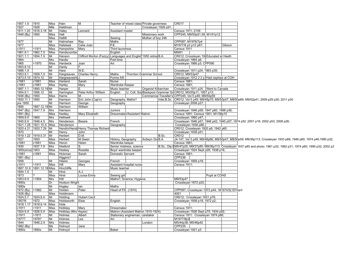| 1907.1.X                  | 1910           | Miss                   | Hain                              | M.                          |                                                                 |                        | Teacher of mixed class Private governess |                                |       | CR017                                                        |                      |                                              |        |                                                                                                     |
|---------------------------|----------------|------------------------|-----------------------------------|-----------------------------|-----------------------------------------------------------------|------------------------|------------------------------------------|--------------------------------|-------|--------------------------------------------------------------|----------------------|----------------------------------------------|--------|-----------------------------------------------------------------------------------------------------|
| 1927                      | 1928           | Mlle                   | Haldiman                          |                             |                                                                 |                        |                                          | Crossleyan 1928 p91;           |       |                                                              |                      |                                              |        |                                                                                                     |
| 1911.1.20                 | $1916.3.18$ Mr |                        | Haley                             | Leonard                     |                                                                 | Assistant master       |                                          |                                |       | Census 1911; 2109                                            |                      |                                              |        |                                                                                                     |
| 1948 (By) 1950            |                | Miss                   | Hall                              |                             |                                                                 |                        |                                          | Missionary work                |       |                                                              |                      | CPP245; M9/50p51,59; M1/51p12                |        |                                                                                                     |
|                           |                | <b>Miss</b>            | Hallitt                           |                             |                                                                 | Sewing                 |                                          | Mother of boy 246              |       |                                                              |                      |                                              |        |                                                                                                     |
| 1977                      |                | Mr                     | Halmshaw                          | Ray                         |                                                                 | Maths                  |                                          |                                |       | CPP087; M1976/7p4                                            |                      |                                              |        |                                                                                                     |
| 1977                      |                | Miss                   | Halstead                          | Celia Joan                  |                                                                 | P.E.                   |                                          |                                |       | M1977/8 p3 p12 p67;                                          |                      |                                              | Gibson |                                                                                                     |
| c1911                     | >1911          | Miss                   | Hampshire                         | Mary                        |                                                                 | Third laundress        |                                          |                                |       | Census 1911                                                  |                      |                                              |        |                                                                                                     |
| 1961.9.1                  | 1962.7.X       | Miss                   | Handscombe                        |                             |                                                                 | English                |                                          |                                |       | M9/61                                                        |                      |                                              |        |                                                                                                     |
| 1921.1.1                  | 1954.7.X       | Mr                     | Hanson                            |                             | Clifford Morton (Fazzy) Languages and English 1955 retirer B.A. |                        |                                          |                                |       |                                                              |                      | CR012; Crossleyan 194 Educated at Heath      |        |                                                                                                     |
| 1964                      |                | Mrs                    | Hardie                            |                             |                                                                 | Part-time              |                                          |                                |       | Crossleyan 1964 p6;                                          |                      |                                              |        |                                                                                                     |
| 1965                      | >1970          | Miss                   | Hardwick                          | Joan                        |                                                                 | Art                    |                                          |                                |       | Crossleyan 1966 p3; CPP090                                   |                      |                                              |        |                                                                                                     |
| 1903.8.12                 |                | Mr                     | Hardy                             | F.                          |                                                                 |                        |                                          |                                |       |                                                              |                      |                                              |        |                                                                                                     |
| 1888.1.X                  |                | Mr                     | Hare                              | W.E.                        |                                                                 |                        |                                          |                                |       | Crossleyan 1911 p24; 1963 p35;                               |                      |                                              |        |                                                                                                     |
| 1953.9.1                  | 1958.7.X       | Mr                     | Hargreaves                        | Charles Henry               |                                                                 | Maths                  |                                          | <b>Thornton Grammar School</b> |       | CR012; M9/53p47                                              |                      |                                              |        |                                                                                                     |
| 1873.5.10                 | 1874.12        | Mr                     | HargreavesH4J                     |                             |                                                                 | Forms 5/6              |                                          |                                |       |                                                              |                      | Crossleyan 1912 2 2 p1Had nephew at COH      |        |                                                                                                     |
| c1881                     | c1881          | Miss                   | Harland                           | Sarah                       |                                                                 | <b>Nurse</b>           |                                          |                                |       | Census 1881;                                                 |                      |                                              |        |                                                                                                     |
| c1881                     | c1881          | Miss                   | Harley                            | Mary                        |                                                                 | <b>Wardrobe Keeper</b> |                                          |                                |       | Census 1881;                                                 |                      |                                              |        |                                                                                                     |
| 1887.1.1                  | 1890.12.19 Mr  |                        | Harper                            | ΙE.                         |                                                                 | Music teacher          |                                          | Organist Kilbarchan            |       |                                                              |                      | Crossleyan 1911 p24; Went to Canada          |        |                                                                                                     |
| 1954.9.1                  | 1956.12        | Mr                     | Harrington                        | <b>Peter Arthur William</b> |                                                                 | English                |                                          |                                |       | U. Coll. Sou Blackpool Grammar Sc CR012; M3/55p11; 1957 p13; |                      |                                              |        |                                                                                                     |
| 1948 (By)                 | 1950           | Miss                   | Harris                            | M.                          |                                                                 |                        |                                          |                                |       | Commercial Traveller's CPP245; Vol 5 p49; M9/50p59           |                      |                                              |        |                                                                                                     |
| 1920.11.1                 | 1950           | Mr                     | Harrison                          | Eric John (Cap'n)           |                                                                 | Geography, Maths?      |                                          |                                |       |                                                              |                      |                                              |        | Inter.B.Sc. CR012; Vol 5 p49; M9/48p70; M9/50p47; M9/50p69; M9/52p41; 2009 p29 p30; 2011 p30        |
| pre 1950                  |                | Mr                     | Harrison                          | George                      |                                                                 | Geography              |                                          |                                |       | Crossleyan 2008 p27;                                         |                      |                                              |        |                                                                                                     |
| 1885                      | 1887.12.19 Mr  |                        | Harrison                          | William                     |                                                                 |                        |                                          |                                |       |                                                              |                      |                                              |        |                                                                                                     |
|                           |                | Mrs                    |                                   |                             |                                                                 |                        |                                          |                                |       |                                                              |                      |                                              |        |                                                                                                     |
| 1947 (By)                 | 1947.7.X       |                        | Harrison                          |                             |                                                                 | Juniors                |                                          |                                |       |                                                              |                      | Crossleyan 1946 p58; 1947 p60; 1998 p36;     |        |                                                                                                     |
| 1891 (By)                 |                | Miss                   | <b>Hartley</b>                    | Mary Elizabeth              |                                                                 |                        | Dressmaker/Assistant Matron              |                                |       |                                                              |                      | Census 1891; Census 1901; M1/38p15           |        |                                                                                                     |
| 1959.9.X                  | 1960           | Mrs                    | Helliwell                         |                             |                                                                 |                        |                                          |                                |       | Crossleyan 1960 p47;                                         |                      |                                              |        |                                                                                                     |
| 1945.9.X                  | 1946.4.X       | Mrs                    | Henderson                         | Bessie                      |                                                                 | French                 |                                          |                                |       |                                                              |                      |                                              |        | Crossleyan 1946 p57; 1946 p42; 1945 p57; 1974 p52 ;2001 p16; 2002 p53; 2008 p26;                    |
| 1921.1.26                 | 1921.10.X Miss |                        | Henderson                         |                             |                                                                 | Geography              |                                          |                                |       | Crossleyan 1936 p88;                                         |                      |                                              |        |                                                                                                     |
| 1920.4.21 1920.7.29 Mr    |                |                        | Hendin/Hendr Henry Thomas Richard |                             |                                                                 |                        |                                          |                                |       |                                                              |                      | CR012; Crossleyan 1920 p8; 1942 p65          |        |                                                                                                     |
| 1870                      |                | Mr                     | Henry                             | John                        |                                                                 |                        |                                          |                                |       | Crossleyan 1938 p51;                                         |                      |                                              |        |                                                                                                     |
| 1919.1.22 1919.5.31 Mr    |                |                        | Herbert                           | D.M.                        |                                                                 |                        |                                          |                                | B.Sc. | <b>CR012</b>                                                 |                      |                                              |        |                                                                                                     |
| 1927                      | 1950           | Miss                   | Herbert                           | M.Gwen                      |                                                                 | History, Geography     |                                          | Ardwyn GraB.A.                 |       |                                                              |                      |                                              |        | J4-147; Vol 5 p49; M9/48p66; M9/50p47; M9/50p59; M9/36p113; Crossleyan 1933 p69; 1946 p             |
| c1881                     | c1881          | Miss                   | Heron                             | Helen                       |                                                                 | Wardrobe keeper        |                                          |                                |       | Census 1881;                                                 |                      |                                              |        |                                                                                                     |
| 1930                      | 1937.7.X       | Mrs                    | Hesford                           | SS.                         |                                                                 |                        | Senior mistress, science                 |                                |       |                                                              |                      |                                              |        | B.Sc., Dip. [M5/47p25, M9/37p85; M9/36p113; Crossleyan 1937 p85 and photo; 1961 p32; 1962 p31; 1974 |
| 1900(circa) 1903          |                | <b>Miss</b>            | Heskey                            | Rosetta                     |                                                                 |                        | Boys' wardrobe keeper                    |                                |       |                                                              |                      | Crossleyan 1924 Sept p28; 1938 p16;          |        |                                                                                                     |
| c1881                     | c1881          | Miss                   | Hickman                           | Sarah                       |                                                                 | Domestic Servant       |                                          |                                |       | Census 1881;                                                 |                      |                                              |        |                                                                                                     |
| 1981(By)                  |                |                        | Higgins?                          |                             |                                                                 |                        |                                          |                                |       | CFP236                                                       |                      |                                              |        |                                                                                                     |
| 1958                      |                | Mr                     | Hilaire                           | Georges                     |                                                                 | French                 |                                          |                                |       | Crossleyan 1959 p18;                                         |                      |                                              |        |                                                                                                     |
| c1911                     | >1911          | <b>Miss</b>            | Hill                              | Mary                        |                                                                 |                        | Assistant hospital nurse                 |                                |       | Census 1911;                                                 |                      |                                              |        |                                                                                                     |
| 1887.10.X 1891.12.18 Miss |                |                        | <b>Hinchliffe</b>                 |                             |                                                                 | Music teacher          |                                          |                                |       |                                                              |                      |                                              |        |                                                                                                     |
| 1894.1.X                  |                | Mr                     | Hirst                             | A.J.                        |                                                                 |                        |                                          |                                |       |                                                              |                      |                                              |        |                                                                                                     |
| 1873                      |                | <b>Miss</b>            | Hirst                             | Louisa Emily                |                                                                 | Sewing girl            |                                          |                                |       |                                                              |                      | Pupil at COHS                                |        |                                                                                                     |
| 1953.9.X                  | >1954          | Mrs                    | <b>Hitt</b>                       |                             |                                                                 |                        | Maths?; Science; Hygiene                 |                                |       | M9/53p47                                                     |                      |                                              |        |                                                                                                     |
| 1890s                     |                | Dr                     | Hodson Wright                     |                             |                                                                 |                        |                                          |                                |       |                                                              | Crossleyan 1972 p20; |                                              |        |                                                                                                     |
| 1980s                     |                | Mr                     | Hogley                            | lan                         |                                                                 | Maths                  |                                          |                                |       |                                                              |                      |                                              |        |                                                                                                     |
| 1972 (By) >1982           |                | Mr                     | Holden                            | Peter                       |                                                                 | Head of P.E. (1974)    |                                          |                                |       |                                                              |                      | CPP087; Crossleyan 1973 p44; M1974/5(1974)p3 |        |                                                                                                     |
| $1928$ (By)               |                | Miss                   | Holdimann                         |                             |                                                                 |                        |                                          |                                |       | 4001                                                         |                      |                                              |        |                                                                                                     |
| 1924.5.7                  | 1924.6.4       | Mr]                    | Holding                           | <b>Hubert Cecil</b>         |                                                                 |                        |                                          |                                |       | CR012; Crossleyan 1931 p79;                                  |                      |                                              |        |                                                                                                     |
| 1957/8                    | 1972           | Miss                   | Holdsworth                        | Elsie                       |                                                                 | English                |                                          |                                |       | Crossleyan 1958 p18; 1972 p2;                                |                      |                                              |        |                                                                                                     |
| 1918.1.17                 | 1918.8.14 Miss |                        | Hole                              |                             |                                                                 |                        |                                          |                                |       |                                                              |                      |                                              |        |                                                                                                     |
| c1911                     | >1911          | Miss                   | Holliday                          | Mary                        |                                                                 | Dressmaker             |                                          |                                |       | Census 1911;                                                 |                      |                                              |        |                                                                                                     |
| 1924.9.X                  | 1926.9.X       | Miss                   | Holliday (Mrs Hayes)              |                             |                                                                 |                        | Matron (Assistant Matron 1915-1924)      |                                |       |                                                              |                      | Crossleyan 1926 Sept p75; 1934 p92;          |        |                                                                                                     |
| c1911                     | >1911          | Mr]                    | Holmes                            | Albert                      |                                                                 |                        | Stationary engineman; caretaker          |                                |       |                                                              |                      | Census 1911: Crossleyan 1974 p66;            |        |                                                                                                     |
| 1977?                     | 1978?          | $\overline{\text{Mr}}$ | Holmes                            | Les                         |                                                                 | Art                    |                                          |                                |       | M1977/8p3                                                    |                      |                                              |        |                                                                                                     |
| 1944                      | 1946.2.X       | Mrs                    | Holmes                            |                             |                                                                 |                        |                                          | London                         |       | M5/44p38; M5/46p42                                           |                      |                                              |        |                                                                                                     |
| 1982 (By)                 |                | Ms                     | Holroyd                           | Jane                        |                                                                 |                        |                                          |                                |       | <b>CPP235</b>                                                |                      |                                              |        |                                                                                                     |
| 1890s                     | 1890s          | Mr                     | Holroyd                           |                             |                                                                 | <b>Baker</b>           |                                          |                                |       | Crossleyan 1921 p3                                           |                      |                                              |        |                                                                                                     |
|                           |                |                        |                                   |                             |                                                                 |                        |                                          |                                |       |                                                              |                      |                                              |        |                                                                                                     |

ssleyan 1933 p69; 1946 p60; 1974 p46;1990 p32; Mesleyan 1933 1961 p32; 1962 p31; 1974 p60; 1990 p32; 2002 p3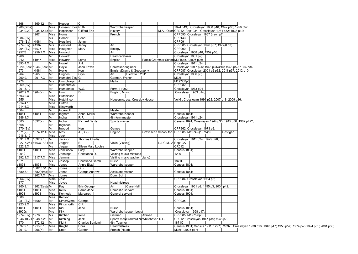| 1868                    | 1869.12                              | $\overline{\text{Im}}$ r | Hooper             | C.                        |                                      |                                       |        |                                                           |                     |                                |                                                     |          |                                                             |
|-------------------------|--------------------------------------|--------------------------|--------------------|---------------------------|--------------------------------------|---------------------------------------|--------|-----------------------------------------------------------|---------------------|--------------------------------|-----------------------------------------------------|----------|-------------------------------------------------------------|
| 1900(circa)             |                                      | Miss                     | Hooson/Hoos Ruth   |                           | Wardrobe keeper                      |                                       |        |                                                           |                     |                                | 1924 p19; Crossleyan 1938 p16; 1942 p65; 1958 p57;  |          |                                                             |
|                         | 1934.9.20 1935.12.18 Mr              |                          | Hopkinson          | <b>Clifford Eric</b>      | History                              |                                       |        | M.A. (Oxon CR012; Rep1934; Crossleyan 1934 p82; 1938 p12; |                     |                                |                                                     |          |                                                             |
|                         | 1967                                 | Miss                     | Horne              |                           | French                               |                                       |        |                                                           |                     |                                | CPP090; Crossleyan 1967 (new) p7;                   |          |                                                             |
| 1984 $(By)$             |                                      | Ms                       | Horner             | Pearl                     |                                      |                                       |        |                                                           | CFP143              |                                |                                                     |          |                                                             |
| 1976 (By) > 1984        |                                      | $\overline{\mathsf{Ms}}$ | Horsfield          | Jenny                     |                                      |                                       |        |                                                           | CPP091              |                                |                                                     |          |                                                             |
| 1974 (By) $  > 1982$    |                                      | Mrs                      | Horsford           | Jenny                     | Art                                  |                                       |        |                                                           |                     |                                | CPP085; Crossleyan 1976 p57; 1977/8 p3;             |          |                                                             |
| 1964 (By) $\mid$ > 1975 |                                      | Miss                     | Houghton           | Mary                      | Biology                              |                                       |        |                                                           | CPP090              |                                |                                                     |          |                                                             |
| 1957/8                  | 1959.7.X                             | Miss                     | Howard             |                           | Art                                  |                                       |        |                                                           |                     | Crossleyan 1958 p18; 1959 p56; |                                                     |          |                                                             |
| 1960                    |                                      | Mr                       | Howarth            |                           | <b>Head caretaker</b>                |                                       |        |                                                           | Crossleyan 1961 p9; |                                |                                                     |          |                                                             |
| 1942                    | c1947                                | Miss                     | Howarth            | Lorna                     | English                              |                                       |        | Pate's Grammar Schoo M9/45p57; 2006 p26;                  |                     |                                |                                                     |          |                                                             |
| 1893.4.X                |                                      | Mr                       | Howell             | J.H.                      |                                      |                                       |        |                                                           | Crossleyan 1911 p24 |                                |                                                     |          |                                                             |
|                         | 1920 (East 1946 (East Mr             |                          | Hoyle              | John Edwin                | Caretaker/engineer                   |                                       |        |                                                           |                     |                                |                                                     |          | Crossleyan 1947 p25; 1946 p31/3/45; 1948 p52; 1954 p34;     |
| 1973                    | >1984                                | Mr                       | Hoyle              | Ken                       |                                      | English/Drama & Geography             |        |                                                           |                     |                                | CPP087; Crossleyan 2001 p2 p32; 2011 p37; 2012 p10; |          |                                                             |
| 1964                    | 1965                                 | Mr                       | Hughes             | Glyn                      | Art                                  | Died 24.5.2011                        |        |                                                           | Crossleyan 1966 p3; |                                |                                                     |          |                                                             |
| 1960.9.1                | 1961.7.X                             | $\overline{\mathsf{Mr}}$ | Humphr(i?)ey G.    |                           | German, French                       |                                       |        |                                                           | M3/61               |                                |                                                     |          |                                                             |
| 1978                    |                                      | Mrs                      | Humphreys          | A.                        | <b>Maths</b>                         |                                       |        |                                                           | M1977/8p3           |                                |                                                     |          |                                                             |
| 1969 (By)               |                                      | Mr                       | Humphreys          |                           |                                      |                                       |        |                                                           | CPP082              |                                |                                                     |          |                                                             |
| 1901.8.10               |                                      | Mr                       | Humphries          | W.G.                      | Form 1 1902                          |                                       |        |                                                           | Crossleyan 1913 p94 |                                |                                                     |          |                                                             |
| 1962.9.X                | 1964(>)                              | $\overline{\text{Mr}}$   | Hunt               | D.                        | English, Music                       |                                       |        |                                                           |                     | Crossleyan 1963 p14;           |                                                     |          |                                                             |
| 1893.2.X                |                                      | Miss                     | Hutchinson         |                           |                                      |                                       |        |                                                           |                     |                                |                                                     |          |                                                             |
| 1955                    |                                      | Miss                     | Hutchinson         |                           |                                      | Housemistress, Crossley House         |        |                                                           |                     |                                | Vol 6; Crossleyan 1998 p23; 2007 p18; 2009 p26;     |          |                                                             |
| 1914.4.15               |                                      | Miss                     | Hutton             |                           |                                      |                                       |        |                                                           |                     |                                |                                                     |          |                                                             |
| 1914.6.X                |                                      | Miss                     | <b>Illingworth</b> |                           |                                      |                                       |        |                                                           |                     |                                |                                                     |          |                                                             |
| 1864                    |                                      | Mr]                      | Ingersoll          |                           | <b>Master</b>                        |                                       |        |                                                           |                     |                                |                                                     |          |                                                             |
| c1881                   | c1881                                | Miss                     | Ingham             | Anna Maria                | <b>Wardrobe Keeper</b>               |                                       |        |                                                           | Census 1881;        |                                |                                                     |          |                                                             |
| 1888.1.X                |                                      | Mr                       | Ingham             | R.F.                      | 4th form master                      |                                       |        |                                                           | Crossleyan 1911 p24 |                                |                                                     |          |                                                             |
| 1883                    | 1892(>)                              | Mr                       | Ingham             | <b>Richard Baxter</b>     | Sports master                        |                                       |        |                                                           |                     |                                |                                                     |          | Census 1891; Crossleyan 1944 p35; 1945 p36; 1962 p42?;      |
| 1868                    |                                      | Mr                       | Ingleson           |                           |                                      |                                       |        |                                                           |                     |                                |                                                     |          |                                                             |
| 1970 (By)               |                                      | Mr                       | Inwood             | Ken                       | Games                                |                                       |        |                                                           |                     | CPP362; Crossleyan 1973 p2;    |                                                     |          |                                                             |
| 1971(?)                 | 1974.12.X Miss                       |                          | <b>Ives</b>        | J. (G.?)                  | English                              |                                       |        | Gravesend School for (CPP085; M1974/5(1975)p2             |                     |                                |                                                     | Costigan |                                                             |
| 1916.3.19               |                                      | Miss                     | Jack               |                           |                                      |                                       |        |                                                           |                     |                                |                                                     |          |                                                             |
| 1891.7.X                | 1892.9.10 Mr                         |                          | Jackson            | <b>Thomas Challis</b>     |                                      |                                       |        |                                                           |                     | Crossleyan 1911 p24; 1925 p26; |                                                     |          |                                                             |
|                         | 1927.7.26 (>1937.7.31 Ms)            |                          | Jagger             |                           | Violin (Visiting)                    |                                       |        | L.L.C.M., A Rep1927                                       |                     |                                |                                                     |          |                                                             |
| 1922.9.X                |                                      | Ms                       | Jagger             |                           |                                      |                                       |        |                                                           | CR012               |                                |                                                     |          |                                                             |
| c1881                   |                                      |                          |                    | <b>Eileen Mary Louise</b> |                                      |                                       |        |                                                           |                     |                                |                                                     |          |                                                             |
|                         | c1881                                | Miss                     | Jenkinson          | Lucy                      | Wardrobe keeper                      |                                       |        |                                                           | Census 1881;        |                                |                                                     |          |                                                             |
| 1901?                   |                                      | Miss                     | Jennings           | Constance D.              |                                      | <b>Visiting Music Mistress</b>        |        |                                                           | 1299                |                                |                                                     |          |                                                             |
| 1892.1.X                | 1917.7.X                             | Miss                     | <b>Jennins</b>     |                           |                                      | Visiting music teacher (piano)        |        |                                                           |                     |                                |                                                     |          |                                                             |
| 1871                    |                                      | Ms                       | Jessop             | Christiana Sarah          | <b>Nurse</b>                         |                                       |        |                                                           | 1871C               |                                |                                                     |          |                                                             |
| c1891                   | c1891                                | Miss                     | Jones              | Annie Eliza               | Wardrobe keeper                      |                                       |        |                                                           | Census 1891;        |                                |                                                     |          |                                                             |
| 1881                    | 1882.3.31                            | $\vert$ Mr               | Jones              | G.B.                      |                                      |                                       |        |                                                           |                     |                                |                                                     |          |                                                             |
| 1880.8.1                | $1882$ (circa) Mr                    |                          | Jones              | George Andrew             | <b>Assistant master</b>              |                                       |        |                                                           | Census 1881;        |                                |                                                     |          |                                                             |
|                         | 1962.7.X                             | Mrs                      | Jones              |                           | Dom. Sci.                            |                                       |        |                                                           |                     |                                |                                                     |          |                                                             |
| 1964 (By)               |                                      | Mme                      | Jose               |                           |                                      |                                       |        |                                                           |                     | CPP084; Crossleyan 1964 p6;    |                                                     |          |                                                             |
| 1877                    |                                      | Miss                     | Joyce              |                           | Headmistress                         |                                       |        |                                                           |                     |                                |                                                     |          |                                                             |
| 1960.9.1                | 1962(Easte Mr                        |                          | Kay                | Eric George               | Art                                  | Clare Hall                            |        |                                                           |                     |                                | Crossleyan 1961 p9; 1995 p3; 2008 p42;              |          |                                                             |
| c1881                   | c1881                                | Miss                     | Kells              | Sarah Jane                | Domestic Servant                     |                                       |        |                                                           | Census 1881;        |                                |                                                     |          |                                                             |
| c1901                   | c1901                                | Miss                     | Kennedy            | Margaret                  | General servant                      |                                       |        |                                                           | Census 1901;        |                                |                                                     |          |                                                             |
| 1880                    |                                      | Miss                     | Kenyon             |                           |                                      |                                       |        |                                                           |                     |                                |                                                     |          |                                                             |
| 1981 (By)               | >1984                                | Mr                       | Kime/Kyme          | George                    |                                      |                                       |        |                                                           | CPP235              |                                |                                                     |          |                                                             |
| 1923.9.X                |                                      | Miss                     | Kingsnorth         | C.R.                      |                                      |                                       |        |                                                           |                     |                                |                                                     |          |                                                             |
| c1881                   | c1881                                | Miss                     | Kirk               | Jane                      | <b>Nurse</b>                         |                                       |        |                                                           | Census 1881;        |                                |                                                     |          |                                                             |
| c1920s                  |                                      | Mrs                      | Kirk               |                           |                                      | Wardrobe keeper (boys)                |        |                                                           |                     | Crossleyan 1958 p17;           |                                                     |          |                                                             |
| 1974 (By) 1976          |                                      | Ms                       | Kitchen            | Irene                     | German                               |                                       | Abroad |                                                           | CPP085; M1975/6p3   |                                |                                                     |          |                                                             |
| 1946.10.21 1948.7.28    |                                      | Mr                       | Kitching           | Jack                      |                                      | Sports mas Bradford NoWhitehaven R.L. |        |                                                           |                     |                                | CR012; Crossleyan 1947 p19; 1948 p70;               |          |                                                             |
| 1870                    | 1872.12                              | $\vert$ Mr               | Kluht              | Charles Benjamin          | 4th. Teacher                         |                                       |        |                                                           | 1871C               |                                |                                                     |          |                                                             |
| 1961.9.1                | 1897.9.10 1913.6.13 Miss<br> 1966(>) | $\vert$ Mr               | Knight<br> Knott   | Dora<br>Gordon            | <b>Headmistress</b><br>French (Head) |                                       |        |                                                           | M9/61; 2008 p17;    |                                |                                                     |          | Census 1901; Census 1911; 1297; R1897; Crossleyan 1938 p16; |

5.1940 p47; 1958 p57; 1974 p46; 1994 p31; 2001 p36;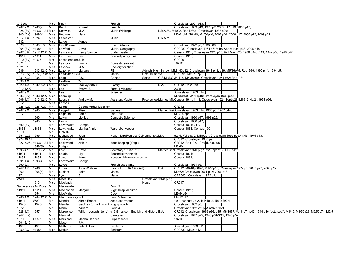| C1950s                      |                            | Miss Knott |                    |                       |                                         | French                     |                                                                  |                                                          | Crossleyan 2007 p13;          |                                |                                                     |                                                          |                                                                                                 |
|-----------------------------|----------------------------|------------|--------------------|-----------------------|-----------------------------------------|----------------------------|------------------------------------------------------------------|----------------------------------------------------------|-------------------------------|--------------------------------|-----------------------------------------------------|----------------------------------------------------------|-------------------------------------------------------------------------------------------------|
| 1962.9.X                    | 1966(>)                    | Mr         | Knott              | Russell               |                                         | French                     |                                                                  |                                                          |                               |                                |                                                     | Crossleyan 1963 p19; 1973 p2; 2005 p17 p19; 2008 p17;    |                                                                                                 |
|                             | 1928 (By) > 1937.7.31 Miss |            | Knowles            | M.W.                  |                                         | Music (Visiting)           |                                                                  |                                                          |                               |                                | L.R.A.M., M4002, Rep1930; Crossleyan 1938 p26;      |                                                          |                                                                                                 |
|                             |                            |            |                    |                       |                                         |                            |                                                                  |                                                          |                               |                                |                                                     |                                                          |                                                                                                 |
| $1943$ (By) $1969$ (>)      |                            | Miss       | Knowles            | Mary                  |                                         |                            |                                                                  |                                                          |                               |                                |                                                     |                                                          | M3/61; M1/46p19, M1/50p10; 2002 p34; 2006 p17; 2008 p22; 2009 p21;                              |
| 1917.7.X                    | 1924                       | Miss       | Lancaster          |                       |                                         | Music                      |                                                                  | L.R.A.M.                                                 |                               |                                |                                                     |                                                          |                                                                                                 |
| 1882                        |                            | Miss       | Large              | Agnes                 |                                         |                            |                                                                  |                                                          |                               |                                |                                                     |                                                          |                                                                                                 |
| 1879                        | 1880.6.30                  | Miss       | Larritt/Larratt    |                       |                                         | Headmistress               |                                                                  |                                                          | Crossleyan 1922 p5; 1933 p60; |                                |                                                     |                                                          |                                                                                                 |
| $1964$ (By) $\sqrt{$ > 1984 |                            | Mr         | Lawford            | David                 |                                         | Music, Geography           |                                                                  |                                                          |                               |                                |                                                     |                                                          | CPP082; Crossleyan 1964 p6; M1975/6p3; 1990 p38; 2005 p18;                                      |
| 1902.8.9                    | $1917.12.X$ Mr             |            | Lawrence           | Henry Samuel          |                                         | Under master               |                                                                  |                                                          |                               |                                |                                                     |                                                          | Census 1911; Crossleyan 1920 p15; 921 May p25; 1930 p84; p119; 1942 p53; 1948 p47;              |
| c1911                       | > 1911                     | Miss       | Lawrence           | Olive                 |                                         | Second pantry maid         |                                                                  |                                                          | Census 1911;                  |                                |                                                     |                                                          |                                                                                                 |
| $1970 (By)$ >1976           |                            | Mrs        | Laybourne (n(Julia |                       |                                         |                            |                                                                  |                                                          | CPP091                        |                                |                                                     |                                                          |                                                                                                 |
| 1871                        |                            | Ms         | Laycock            | Emma                  |                                         | Domestic servant           |                                                                  |                                                          | 1871C                         |                                |                                                     |                                                          |                                                                                                 |
| 1921.9.1                    |                            | Miss       | Laycock            | M.A.                  |                                         | Cookery teacher            |                                                                  |                                                          |                               |                                |                                                     |                                                          |                                                                                                 |
|                             | 1943.12.X Miss             |            |                    |                       |                                         | PE                         |                                                                  |                                                          |                               |                                |                                                     |                                                          |                                                                                                 |
| 1936                        |                            |            | Lazonby            | Margaret              |                                         |                            |                                                                  |                                                          |                               |                                |                                                     |                                                          | Adelphi High School, MM1/43p32; Crossleyan 1944 p13; p39; M5/36p75; Rep1936; 1990 p14; 1994 p5; |
|                             | 1976 (By) 1977 (Easte Mr   |            | Leadbitter (LeJ.   |                       |                                         | <b>Maths</b>               | <b>Hotel business</b>                                            |                                                          | CPP091; M1976/7p3             |                                |                                                     |                                                          |                                                                                                 |
| 1931.7.31 (1935             |                            | Miss       | Lean               | P.S.                  |                                         | Games                      | Settle                                                           | C.S.M.M.G J4-178, M5/35p69; Crossleyan 1974 p62; Rep1931 |                               |                                |                                                     |                                                          |                                                                                                 |
| 1898.1.X                    |                            | Mr         | Leathley           | W.J.                  |                                         |                            |                                                                  |                                                          |                               |                                |                                                     |                                                          |                                                                                                 |
| 1929.1.9                    | 1930.7.29 (Mr              |            | Lebern             | <b>Stanley Arthur</b> |                                         | <b>History</b>             |                                                                  | B.A.                                                     | CR012; Rep1929                |                                |                                                     |                                                          |                                                                                                 |
| 1912.12.X                   |                            | Miss       | Lee                | Evelyn E.             |                                         | Form 4 Mistress            |                                                                  |                                                          | 2395                          |                                |                                                     |                                                          |                                                                                                 |
| 1962.9.X                    |                            | Mr         | Lee                | R.                    |                                         | Sciences                   |                                                                  |                                                          |                               | Crossleyan 1963 p14;           |                                                     |                                                          |                                                                                                 |
|                             | 1933 (By) 1933.12.X Miss   |            | Leeming            |                       |                                         |                            |                                                                  |                                                          |                               |                                | M9/33p99, M1/34p19; Crossleyan 1933 p99;            |                                                          |                                                                                                 |
| 1906.1.X                    | 1913.12.X Mr               |            | Leeson             | Andrew M.             |                                         | Assistant Master           |                                                                  |                                                          |                               |                                |                                                     |                                                          | Prep schoo Married Mis Census 1911; 1141; Crossleyan 1924 Sept p28; M1912-No.2; 1974 p66;       |
| 1912                        |                            | Miss       | Leeson             |                       |                                         |                            |                                                                  |                                                          |                               |                                |                                                     |                                                          |                                                                                                 |
| 1925.4.29 1925.7.29         |                            | Mr         | Legge              |                       | <b>George Arthur Moseley</b>            |                            |                                                                  |                                                          | <b>CR012</b>                  |                                |                                                     |                                                          |                                                                                                 |
|                             |                            |            |                    |                       |                                         |                            |                                                                  |                                                          |                               |                                |                                                     |                                                          |                                                                                                 |
| 1962.9.X                    | 1965                       | Miss       | Leggett            | Alison                |                                         | Games                      |                                                                  |                                                          |                               |                                | Married Kei Crossleyan 1963 p14; 1966 p3; 1967 p44; |                                                          |                                                                                                 |
| 1977                        |                            | Mr         | Leighton           | Peter                 |                                         | Lab. Tech.                 |                                                                  |                                                          | M1976/7p4                     |                                |                                                     |                                                          |                                                                                                 |
|                             | 1960                       | Mrs        | Lewin              | Monica                |                                         | Domestic Science           |                                                                  |                                                          |                               | Crossleyan 1960 p47; 1998 p25; |                                                     |                                                          |                                                                                                 |
|                             | 1960                       | <b>Mrs</b> | Lewis              |                       |                                         |                            |                                                                  |                                                          | Crossleyan 1960 p47;          |                                |                                                     |                                                          |                                                                                                 |
| 1892 (By)                   |                            | Mr         | Lewthwaite         | George                |                                         |                            |                                                                  |                                                          | Census 1891; 3173             |                                |                                                     |                                                          |                                                                                                 |
| c1881                       | c1881                      | Miss       | Lewthwaite         | Martha Annie          |                                         | Wardrobe Keeper            |                                                                  |                                                          |                               | Census 1881; Census 1901;      |                                                     |                                                          |                                                                                                 |
| 1919                        |                            | Mr         | Libbish            |                       |                                         |                            |                                                                  |                                                          |                               |                                |                                                     |                                                          |                                                                                                 |
| 1951.5.26 1955              |                            | Miss       | Lightwood          | Joan                  |                                         |                            | Headmistre Penrose CdNorthamptdM.A.                              |                                                          |                               |                                |                                                     |                                                          | 5214; Vol 5 p72; M1/52p1; Crossleyan 1955 p25,44,45; 1974 p43;                                  |
| 1924.10.11                  |                            | Mr         | Lockwod            | Alfred                |                                         |                            |                                                                  |                                                          | CR012; Crossleyan 1960 p9;    |                                |                                                     |                                                          |                                                                                                 |
|                             | 1927.7.26 (>1937.7.31 Mr   |            | Lockwood           | Arthur                |                                         | Book-keeping (Vstg.)       |                                                                  |                                                          |                               |                                | CR012; Rep1927; Crosd. 8.9.1959                     |                                                          |                                                                                                 |
|                             | 1959/60                    | Miss       | Lodge              |                       |                                         |                            |                                                                  |                                                          | M3/60                         |                                |                                                     |                                                          |                                                                                                 |
| 1893.4.1                    | 1920.2.28                  | $\vert$ Mr | Lord               | David                 |                                         | Secretary 1893-1920        |                                                                  |                                                          |                               |                                |                                                     | Married sed Crossleyan 1920 p2; 1922 Sept p26; 1993 p12; |                                                                                                 |
|                             | c1901                      | Miss       | Lourie             | Lily                  |                                         | Second kitchenmaid         |                                                                  |                                                          |                               |                                |                                                     |                                                          |                                                                                                 |
| c1901                       |                            |            |                    |                       |                                         |                            |                                                                  |                                                          | Census 1901;                  |                                |                                                     |                                                          |                                                                                                 |
| c1891                       | c1891                      | Miss       | Lowe               | Annie                 |                                         | Housemaid/domestic servant |                                                                  |                                                          | Census 1891;                  |                                |                                                     |                                                          |                                                                                                 |
| $1891.1.\overline{X}$       | 1893.4                     | Mr]        | Lowthwaite         | George                |                                         |                            |                                                                  |                                                          |                               |                                |                                                     |                                                          |                                                                                                 |
| $1960.9 \times$             |                            | Miss       | Loyez              |                       |                                         | French assistante          |                                                                  |                                                          | Crossleyan 1961 p9;           |                                |                                                     |                                                          |                                                                                                 |
| 1947.1.7                    | 1966                       | Mr]        | Lucas              | John Whitaker         |                                         | Head of En 1970.9 (died)   |                                                                  | B.A.                                                     |                               |                                |                                                     |                                                          | CR012; M9/48p68/70; M1/50p23; Crossleyan 1972 p1; 2005 p27; 2008 p22;                           |
| 1962                        | 1966(>)                    | Mr         | Ludlam             | Keith                 |                                         | Maths                      |                                                                  |                                                          |                               |                                | M9-62; Crossleyan 2001 p15; 2009 p18;               |                                                          |                                                                                                 |
| 1971                        |                            | Miss       | Lyon               | S.                    |                                         | Maths                      |                                                                  |                                                          | CPP085; Crossleyan 1972 p1;   |                                |                                                     |                                                          |                                                                                                 |
| WW1                         |                            | Miss       | Macaulay           |                       |                                         |                            | Crossleyan 1928 p61;                                             |                                                          |                               |                                |                                                     |                                                          |                                                                                                 |
|                             | 1913                       | Miss       | MacIsack           |                       |                                         |                            | Nurse                                                            |                                                          | CR017                         |                                |                                                     |                                                          |                                                                                                 |
| Same era as Mr Dove         |                            | $\vert$ Mr | Mackenzie          |                       |                                         | Form 3                     |                                                                  |                                                          |                               |                                |                                                     |                                                          |                                                                                                 |
| c1911                       | >1911                      | Miss       | Maclennan          | Margaret              |                                         | Night hospital nurse       |                                                                  |                                                          | Census 1911;                  |                                |                                                     |                                                          |                                                                                                 |
|                             | 1954                       | Mrs        | MacMahon           |                       |                                         | Cook                       |                                                                  |                                                          | M9/54p54                      |                                |                                                     |                                                          |                                                                                                 |
| 1903.1.X                    | 1904.12.X                  |            | MacmanawayG.T.     |                       |                                         | Form V teacher             |                                                                  |                                                          | M4/12p17                      |                                |                                                     |                                                          |                                                                                                 |
|                             |                            | $\vert$ Mr |                    |                       |                                         |                            |                                                                  |                                                          |                               |                                |                                                     |                                                          |                                                                                                 |
| c1911                       | <b>WWI</b>                 | Mr         | Mander             | <b>Alfred Ernest</b>  |                                         | Assistant master           |                                                                  |                                                          |                               |                                | 1911 census; J2-231; M1912, No.2; ROH               |                                                          |                                                                                                 |
| c1920s                      | c1920s                     | Mr         | Mander             |                       | Geoffrey (think this is $A$ Rugby coach |                            |                                                                  |                                                          | Crossleyan 1962 p3;           |                                |                                                     |                                                          |                                                                                                 |
| 1872                        |                            | Mr         | Mann               | William               |                                         | Form 4                     |                                                                  |                                                          |                               |                                | Crossleyan 1912 2 2 pdA native Scot                 |                                                          |                                                                                                 |
| 1928.1.X                    | 1957                       | Mr         | Margerison         |                       |                                         |                            | William Joseph (Jerry)   c1938 resident English and History B.A. |                                                          |                               |                                |                                                     |                                                          | CR012; Crossleyan 1939 p36; p45; M9/1957; Vol 5 p7; p42; 1944 p16 (potatoes!); M1/4!            |
| $1947 \overline{(By)}$      |                            | Mr         | Marshall           |                       |                                         | Caretaker                  |                                                                  |                                                          |                               |                                |                                                     | Crossleyan 1947 p25; 1946 p31/3/45; 1948 p52;            |                                                                                                 |
| 1870                        | >1871                      | Miss       | Marsland           | Martha Har Yes        |                                         | Pupil teacher              |                                                                  |                                                          | 1871C                         |                                |                                                     |                                                          |                                                                                                 |
| 1901.8.10                   |                            | Mr         | Mason              | J.M                   |                                         |                            |                                                                  |                                                          |                               |                                |                                                     |                                                          |                                                                                                 |
| c1950                       | c1950                      | Mr         | Mathews            | Patrick Joseph        |                                         | Gardener                   |                                                                  |                                                          |                               | Crossleyan 1963 p11;           |                                                     |                                                          |                                                                                                 |
| $1950.9 \times$             | >1954                      | Miss       | Matkin             |                       |                                         | Scripture                  |                                                                  |                                                          | CPP332; M1/51p12              |                                |                                                     |                                                          |                                                                                                 |
|                             |                            |            |                    |                       |                                         |                            |                                                                  |                                                          |                               |                                |                                                     |                                                          |                                                                                                 |

3 (potatoes!); M1/45; M1/50p23; M9/50p74; M5/51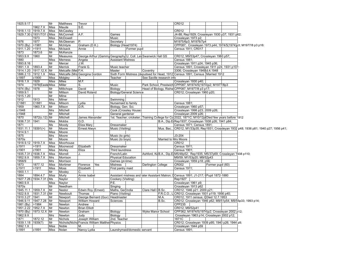| 1925.9.17                  |                 | Mr           | Matthews                                      | Trevor                |     |                                                              |                          |                             | CR012                                                                                            |                                                                                         |
|----------------------------|-----------------|--------------|-----------------------------------------------|-----------------------|-----|--------------------------------------------------------------|--------------------------|-----------------------------|--------------------------------------------------------------------------------------------------|-----------------------------------------------------------------------------------------|
|                            | 1962.7.X   Miss |              | Maude                                         | S.E.                  |     |                                                              |                          |                             |                                                                                                  |                                                                                         |
| 1918.1.13 1919.7.X Miss    |                 |              | McCawley                                      |                       |     |                                                              |                          |                             | CR012                                                                                            |                                                                                         |
| 1929.7.30 (1931/7/31 (Miss |                 |              | McConnell                                     | A.F.                  |     | Games                                                        |                          |                             | J4-88; Rep1929; Crossleyan 1930 p37; 1931 p62;                                                   |                                                                                         |
|                            | 1973            | Miss         | McDowell                                      |                       |     | Music                                                        |                          |                             | Crossleyan 1973 p2;                                                                              |                                                                                         |
| 1976                       | 1977            | Mrs          | McGleenan                                     |                       |     | Secretary                                                    |                          |                             | M1975/6p3; M1976/7p4                                                                             |                                                                                         |
|                            |                 |              |                                               |                       |     |                                                              |                          |                             |                                                                                                  |                                                                                         |
| 1970 (By) >1981            |                 | Mr           | McIntyre                                      | Graham (D.K.)         |     | Biology (Head1974)                                           |                          |                             | CPP087; Crossleyan 1973 p44; 1974/5(1974)p3; M1977/8 p3 p16:                                     |                                                                                         |
| 1911.1.20   > 1911         |                 | Miss         | McIsack                                       | Annie                 |     | Former pupil                                                 |                          |                             | Census 1911; CR017                                                                               |                                                                                         |
| 1873                       | 1873.6          | Mr           | McKenzie                                      |                       |     |                                                              |                          |                             |                                                                                                  |                                                                                         |
| 1953.9.X 1960              |                 | Mr           | Measures                                      |                       |     | George Arthur (Gammy Geography U. Coll. Lei Swanwick Hall GS |                          |                             | CR012; M9/53p47; Crossleyan 1960 p57;                                                            |                                                                                         |
| 1880                       |                 | Miss         | Memess                                        | Angela                |     | <b>Assistant Mistress</b>                                    |                          |                             | Census 1881;                                                                                     |                                                                                         |
| 1893.8.16                  |                 | Mr           | Mercer                                        | J.W.                  |     |                                                              |                          |                             | Crossleyan 1911 p24; 1945 p36;                                                                   |                                                                                         |
| 1891.1.X 1893.4            |                 | Mr           | Merrick                                       | Frank G.              |     | Music teacher                                                |                          |                             | Census 1891; Crossleyan 1911 p24; 1931 p107;                                                     |                                                                                         |
| 1914.1.20 1917.12.X Mr     |                 |              | Metcalfe (Met F.H.                            |                       |     | Master                                                       | Coventry                 |                             | 3306; Crossleyan 1949 d.4.1948                                                                   |                                                                                         |
| 1886.2.13 1912.1.X   Miss  |                 |              | Metcalfe (Mrs Georgina Gordon                 |                       |     |                                                              |                          |                             | Sixth Form Mistress (deputised for Head, 1912) Census 1891; Census   Married 1912                |                                                                                         |
| c1897                      | c1900           | Miss         | Midgley                                       |                       |     | Teacher                                                      |                          | See Saville research info   |                                                                                                  |                                                                                         |
| 1916.1.X 1929              |                 | Miss         | Miles                                         | M.F.                  |     |                                                              |                          |                             | Crossleyan 1930 p40;                                                                             |                                                                                         |
| 1974                       | 1978(Easte Miss |              | Miller                                        | S.                    |     | <b>Music</b>                                                 |                          |                             | Park School, Prestwich CPP087; M1974/5(1974)p2; M1977/8p3                                        |                                                                                         |
| 1974 (By) 1978             |                 | Mr           | Millichope                                    | David                 |     | Biology                                                      |                          |                             | Head of Biology, Rishw CPP087; M1977/8 p3 p17;                                                   |                                                                                         |
| 1959.9.1                   |                 | Mr           | Millson                                       | David Roland          |     | <b>Biology/General Science</b>                               |                          |                             | CR012; Crossleyan 1960 p20;                                                                      |                                                                                         |
|                            |                 |              |                                               |                       |     |                                                              |                          |                             |                                                                                                  |                                                                                         |
| 1915.1.20                  |                 | Mr           | Milne                                         |                       |     |                                                              |                          |                             |                                                                                                  |                                                                                         |
| 1912                       | 1913            | Mrs          | Milner                                        |                       |     | Swimming                                                     |                          |                             |                                                                                                  |                                                                                         |
| C1881                      | C1881           | Miss         | Milsom                                        | Lydia                 |     | Nursemaid to family                                          |                          |                             | Census 1881;                                                                                     |                                                                                         |
| 1959                       | $1960.7.X$ Mr   |              | Milson                                        | D.R.                  |     | Biology, Gen. Sci.                                           |                          |                             | Crossleyan 1960 p57;                                                                             |                                                                                         |
| c1948                      |                 | Mrs          | Mitchell                                      |                       |     | Cook (Crossley House)                                        |                          |                             | Crossleyan 1998 p23; 2009 p26;                                                                   |                                                                                         |
| c1948                      |                 | Mr           | Mitchell                                      |                       |     | General gardener                                             |                          |                             | Crossleyan 2009 p26;                                                                             |                                                                                         |
| 1870                       | 1872(c.12) Mr   |              | Mitchell                                      | James Alexander       |     |                                                              |                          |                             | 1st. Teacher; cricketer; Training College for Co 2022, 1871C; M10/12p Died few years before 1912 |                                                                                         |
| 1936.7.31 1941             |                 | Miss         | Mobbs                                         | G.D.                  |     |                                                              |                          |                             | B.A., Dip.E (Rep1937; Crossleyan 1938 p26; 1941 p84;                                             |                                                                                         |
| 1871                       |                 | Ms           | Moody                                         | Eliza Mary            |     | <b>Dressmaker</b>                                            |                          |                             | Census 1871; Census 1891;                                                                        |                                                                                         |
| $1931.11.1$ $19391(*)$ Mr  |                 |              | Moore                                         | Ernest Alwyn          |     | Music (Visiting)                                             |                          |                             |                                                                                                  | Mus. Bac., CR012, M1/33p35; Rep1931; Crossleyan 1932 p48; 1936 p81; 1940 p27; 1956 p41; |
| 1914.9.1                   |                 | Miss         | Moore                                         |                       |     |                                                              |                          |                             |                                                                                                  |                                                                                         |
| 1875                       |                 | Mrs          | Moore                                         |                       |     | Music (to girls)                                             |                          |                             | $J3-204$                                                                                         |                                                                                         |
| 1870s                      |                 | Mr           | Moore                                         |                       |     | Music (to boys)                                              |                          | <b>Married to Mrs Moore</b> |                                                                                                  |                                                                                         |
| 1918.9.12 1919.7.X         |                 | Miss         | Moorhouse                                     |                       |     |                                                              |                          |                             | CR012                                                                                            |                                                                                         |
| c1911                      | >1911           | Miss         | Moorwood                                      | Elizabeth             |     | Dressmaker                                                   |                          |                             | Census 1911;                                                                                     |                                                                                         |
|                            |                 |              |                                               |                       |     |                                                              |                          |                             |                                                                                                  |                                                                                         |
| c1901                      | c1901           | Miss         | Morley                                        | Eliza                 |     | Third laundress                                              |                          |                             | Census 1901;                                                                                     |                                                                                         |
| 1935.7.31 (1938.7.X   Miss |                 |              | Morrell                                       |                       |     | French/Latin                                                 |                          |                             | Ashford, KdB.A., Dip.E(M5/48p52; Rep1935; M5/37p69; Crossleyan 1938 p110;                        |                                                                                         |
| 1952.9.X 1959.7.X Mrs      |                 |              | Morrison                                      |                       |     | <b>Physical Education</b>                                    |                          |                             | M9/59; M1/53p20; M9/52p43                                                                        |                                                                                         |
| 1958/9                     |                 | Mrs          | Morrison                                      |                       |     | Games (pt-time)                                              |                          |                             | Crossleyan 1959 p18; p56;                                                                        |                                                                                         |
| 1873                       | 1877.12         | Miss         | Mortimer                                      | Florence              | Yes | Mistress                                                     | Darlington College       |                             | CR002<br>Former pupil (60)                                                                       |                                                                                         |
| c1911                      | >1911           | Miss         | Moss                                          | Elizabeth             |     | First pantry maid                                            |                          |                             | Census 1911;                                                                                     |                                                                                         |
| 1900.1.1                   |                 | Mr           | Moxley                                        | C.                    |     |                                                              |                          |                             |                                                                                                  |                                                                                         |
| 1884                       | 1894.4.7        | Miss         | Murly                                         | Annie Isabel          |     |                                                              |                          |                             | Assistant mistress and later Assistant Matron; [Census 1891; J1-217; (Pupil 1872-1880)           |                                                                                         |
| 1927.7.26 (1934.7.31 (Ms)  |                 |              | Naylor                                        | C.                    |     | Cookery (Visiting)                                           |                          |                             | Rep1927                                                                                          |                                                                                         |
| 1960.9.X                   |                 | Miss         | Naylor                                        |                       |     | PE.                                                          |                          |                             | Crossleyan 1961 p9;                                                                              |                                                                                         |
| 1870s                      |                 | Mr           | Needham                                       |                       |     | Singing                                                      |                          |                             | Crossleyan 1913 p62                                                                              |                                                                                         |
| 1945.11.1 1959.7.X Mr      |                 |              | Nestor                                        | Edwin Roy (Ernest)    |     | Maths, Gen India                                             | Clare Hall (B.Sc.        |                             | CR012; 1946 p21: 2009 p21;                                                                       |                                                                                         |
| 1922.9.X   1931.7.31 (Mr   |                 |              | Newboult                                      | Thomas                |     | Piano (Visiting)                                             |                          |                             | F.R.C.O., L CR012; Crossleyan 1931 p119; 1956 p40;                                               |                                                                                         |
| 1910.3.27 1941             |                 | Mr           | Newport                                       | George Bernard (Guv)  |     | Headmaster                                                   |                          | M.A.                        | CR012; 1911 census; <i>QDied</i> 12.7.1953                                                       |                                                                                         |
| 1946.9.11 1947.7.28 Mr     |                 |              | Newport                                       | <b>William Howard</b> |     | Sciences                                                     |                          | B.Sc.                       | CR012; Crossleyan 1946 p62; M9/51p54; M9/55p33; 1993 p14;                                        |                                                                                         |
| 1981 (By)  >1984           |                 | $\vert$ Mr   | Newton                                        | Andrew                |     |                                                              |                          |                             | $\mathsf{CPP}235$                                                                                |                                                                                         |
|                            |                 |              | Newton                                        | <b>Brian Elliott</b>  |     |                                                              |                          |                             | CR012; M9/52p41                                                                                  |                                                                                         |
|                            |                 |              |                                               |                       |     |                                                              | <b>Wyke Manor School</b> |                             | CPP362; M1974/5(1974)p2; Crossleyan 2002 p12;                                                    |                                                                                         |
| 1951.2.22 1952.7.X Mr      |                 |              |                                               |                       |     |                                                              |                          |                             |                                                                                                  |                                                                                         |
| 1970 (By) 1973.12.X Mr     |                 |              | Newton                                        | Graham                |     | Biology                                                      |                          |                             |                                                                                                  |                                                                                         |
| 1962.9.X                   |                 | Mrs          | Newton                                        | Judy                  |     | Biology                                                      |                          |                             | Crossleyan 1963 p14; Crossleyan 2002 p12;                                                        |                                                                                         |
| 1871                       | 1872.12         | Mr           | Nichols                                       | Joseph William        |     | 2nd. Teacher                                                 |                          |                             | 1871C                                                                                            |                                                                                         |
| 1939.1.18   1939(?)        |                 | Mr           | Nichols (Nicho Francis William Matthe Physics |                       |     |                                                              |                          |                             | CR012; Crossleyan 1939 p95; 1940 p26; 1944 p9;                                                   |                                                                                         |
| 1892.1.X<br>c1891          | c1891           | Miss<br>Miss | Noble<br>Nolan                                | M.<br>Nancy Lydia     |     | Laundrymaid/domestic servant                                 |                          |                             | Crossleyan 1944 p59<br>Census 1891;                                                              |                                                                                         |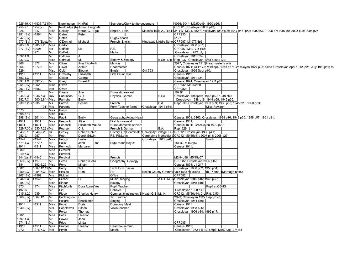|                         | 1925.10.X >1937.7.31 Mr   |                          | Normington   H. (Pa)         |                        |            | Secretary/Clerk to the governers            |                                           |                                                                             | 4056; 3044; M9/50p49; 1990 p26; |                      |                                                           |                                               |                                                                                               |
|-------------------------|---------------------------|--------------------------|------------------------------|------------------------|------------|---------------------------------------------|-------------------------------------------|-----------------------------------------------------------------------------|---------------------------------|----------------------|-----------------------------------------------------------|-----------------------------------------------|-----------------------------------------------------------------------------------------------|
| 1955.9.1                | 1957(>)                   | Mr                       | Northedge (N Arnold Langdale |                        |            |                                             |                                           |                                                                             | CR012; Crossleyan 2009 p43;     |                      |                                                           |                                               |                                                                                               |
| 1926                    | 1947                      | Miss                     | Oakley                       | Norah G. (Egg)         |            | English, Latin                              |                                           |                                                                             |                                 |                      |                                                           |                                               | Matlock TraB.A., Dip.E(J4-147; M9/47p52; Crossleyan 1938 p26; 1947 p48; p52; 1990 p32; 1995 p |
| 1981 (By)               | > 1984                    | Mr                       | Oates                        | Peter                  |            |                                             |                                           |                                                                             | CFP235                          |                      |                                                           |                                               |                                                                                               |
| 1947 (By)               |                           | $\overline{\mathsf{Mr}}$ | Oates                        |                        |            | Rugby coach                                 |                                           |                                                                             | 5127                            |                      |                                                           |                                               |                                                                                               |
|                         | 1977 (By) 1978 (Easte Mr  |                          | O'Donnell                    | Michael                |            | French, English                             |                                           | Kingsway Middle SchooCPP087; M1977/8p3                                      |                                 |                      |                                                           |                                               |                                                                                               |
| 1903.8.9                | 1905.9.2                  | Miss                     | Oerton                       |                        |            |                                             |                                           |                                                                             | Crossleyan 1958 p57;            |                      |                                                           |                                               |                                                                                               |
| 1977 (By) > 2008        |                           | Ms                       | Oldfield                     | Liz                    |            | PE.                                         |                                           |                                                                             | CPP087; M1977/8 p12;            |                      |                                                           |                                               |                                                                                               |
|                         | 1971                      | Mr                       | Oldfield                     |                        |            | Maths                                       |                                           |                                                                             | Crossleyan 1972 p1;             |                      |                                                           |                                               |                                                                                               |
| 1892.1.X                |                           | Mr                       | Oldham                       | Α.                     |            |                                             |                                           |                                                                             | Crossleyan 1911 p24             |                      |                                                           |                                               |                                                                                               |
| 1937.9.X                |                           | Miss                     | Oldroyd                      | M.                     |            | Botany & Zoology                            |                                           |                                                                             |                                 |                      | B.Sc., Dip. [Rep1937; Crossleyan 1938 p26; p120;          |                                               |                                                                                               |
| 1866                    | 1872                      | Mrs                      | Oliver                       | Ann Elizabeth          |            | Matron                                      |                                           |                                                                             |                                 |                      | 2027; Crossleyan 1913 Headmaster's wife                   |                                               |                                                                                               |
| 1864                    | 1872.6                    | Mr                       | Oliver                       | Arthur                 |            | Headmaster                                  |                                           |                                                                             |                                 |                      |                                                           |                                               | Census 1871; CPP175; M1/47p4; 1913 p77; Crossleyan 1927 p37; p120; O                          |
| 1926                    |                           | <b>Miss</b>              | Opie                         | Eleanor                |            | English                                     | <b>Girl 793</b>                           |                                                                             | Crossleyan 1925 Sept p10;       |                      |                                                           |                                               |                                                                                               |
| c1911                   | >1911                     | Miss                     | Ormesby                      | Elizabeth              |            | <b>First Laundress</b>                      |                                           |                                                                             | Census 1911                     |                      |                                                           |                                               |                                                                                               |
| 1893.1.X                |                           | Mr                       | Oslear                       | George                 |            |                                             |                                           |                                                                             | Crossleyan 1911 p24             |                      |                                                           |                                               |                                                                                               |
| 1891.1.X                | 1892(>)                   | Mr                       | Ovey                         | Ernest E.              |            |                                             |                                           |                                                                             |                                 |                      | Census 1891; Crossleyan 1911 p24                          |                                               |                                                                                               |
| 1951 (By) 1952          |                           | Miss                     | Owen                         |                        |            |                                             |                                           |                                                                             | CPP332; M1/53p20                |                      |                                                           |                                               |                                                                                               |
| $1967$ (By) $\geq 1969$ |                           | Mrs                      | Owen                         |                        |            |                                             |                                           |                                                                             | CPP082                          |                      |                                                           |                                               |                                                                                               |
| 1871                    |                           | Ms                       | Owens                        | Ann                    |            | Domestic servant                            |                                           |                                                                             | 1871C                           |                      |                                                           |                                               |                                                                                               |
| 1944.9.X                | 1946.7.X                  | $\overline{\text{Rev}}$  | Parkinson                    | G.R.                   |            | Physics, Games                              |                                           | B.Sc.                                                                       |                                 |                      | Crossleyan 1945p16; 1946 p62; 1948 p69;                   |                                               |                                                                                               |
| 1892.7.X                | 1900.9.8(>) Miss          |                          | Parnaby                      | Emily                  |            |                                             |                                           |                                                                             |                                 |                      | Crossleyan 1938 p16; 1944 p59; 1949 p30;                  |                                               |                                                                                               |
| 1930.7.29 (1935         |                           | Ms                       | Parrott                      | Bessie                 |            | French                                      |                                           | B.A.                                                                        |                                 |                      |                                                           |                                               | Rep1930; Crossleyan 1933 p69; 1935 p53; 1945 p20; 1990 p33;                                   |
| $\overline{?}$          | 1941 Mrs                  |                          | Parsons                      |                        |            | Form Teacher forms 1 & Crossleyan 1941 p84; |                                           |                                                                             |                                 |                      | Miss Rowden                                               |                                               |                                                                                               |
| 1873                    |                           | Miss                     | Paton                        |                        |            |                                             |                                           |                                                                             |                                 |                      |                                                           |                                               |                                                                                               |
| 1898.3.17               |                           | <b>Miss</b>              | Paul                         |                        |            |                                             |                                           |                                                                             |                                 |                      |                                                           |                                               |                                                                                               |
|                         |                           |                          | Paull                        | Emily                  |            |                                             |                                           |                                                                             |                                 |                      |                                                           |                                               |                                                                                               |
| 1898 (By) 1901(>)       | c1901                     | Miss<br>Miss             |                              | Alice                  |            | Geography/Acting Head<br>First housemaid    |                                           |                                                                             |                                 |                      |                                                           |                                               | Census 1901; 3162, Crossleyan 1938 p16; 1949 p30; 1958 p57; 1961 p31;                         |
| c1901                   | c1891                     | Miss                     | Peacock                      |                        |            |                                             |                                           |                                                                             | Census 1901;                    |                      |                                                           |                                               |                                                                                               |
| c1891                   |                           |                          | Peacock                      | <b>Elizabeth Maude</b> |            | Nurse/domestic servant                      |                                           |                                                                             |                                 |                      | Census 1891; Crossleyan 1972 p20;                         |                                               |                                                                                               |
|                         | 1929.7.30 (1930.7.29 (Ms) |                          | Pearson                      | C.J.                   |            | French & German                             |                                           | B.A.                                                                        | Rep1929                         |                      |                                                           |                                               |                                                                                               |
| 1943.9.1                | 1946.2.28                 | Dr                       | Pedley                       | Robert/Robin           |            |                                             |                                           | History, Ga Beaminster University College, Leid CR012; Crossleyan 1956 p41; |                                 |                      |                                                           |                                               |                                                                                               |
| 1952.9.1                | 1957                      | Mr                       | Peet                         | Derek Edwin            |            | RE/ PE/Latin                                |                                           |                                                                             |                                 |                      | Cornholme Methodist GCR012; M9/55p41; 2007 p13; 2008 p27; |                                               |                                                                                               |
| 1944                    | 51944                     | Miss                     | Peggy                        | Foster                 |            |                                             | Crossleyan 1945 p20;                      |                                                                             |                                 |                      | Smith                                                     |                                               |                                                                                               |
| 1871.1.X                | 1872.7                    | Mr                       | Pells                        | John                   | <b>Yes</b> | Pupil teach Boy 31                          |                                           |                                                                             | 1871C, M1/33p3                  |                      |                                                           |                                               |                                                                                               |
| c1911                   | > 1911                    | Miss                     | Pennock                      | Margaret               |            |                                             |                                           |                                                                             | Census 1911;                    |                      |                                                           |                                               |                                                                                               |
| 1880                    |                           | <b>Miss</b>              | Percival                     |                        |            |                                             |                                           |                                                                             |                                 |                      |                                                           |                                               |                                                                                               |
| 1919.7.X                |                           | Miss                     | Percival                     |                        |            |                                             |                                           |                                                                             |                                 |                      |                                                           |                                               |                                                                                               |
| $1944$ (Jan?) > 1945    |                           | Miss                     | Percival                     |                        |            | French                                      |                                           |                                                                             | M5/44p38; M5/45p57              |                      |                                                           |                                               |                                                                                               |
| 1969 (By) $ >1970$      |                           | Mr                       | Perris                       | Robert (Bob)           |            | Geography; Geology                          |                                           |                                                                             | CPP082; Crossleyan 2006 p15;    |                      |                                                           |                                               |                                                                                               |
| 1884                    | 1892.6.29 Miss            |                          | Perry                        | Miriam                 |            |                                             |                                           |                                                                             | Census 1891; J1-217             |                      |                                                           |                                               |                                                                                               |
| 1882                    | 1887.12.19Mr              |                          | Perry                        | W.I.                   |            | Sixth form master                           |                                           |                                                                             | Crossleyan 1938 p82; 1956 p34;  |                      |                                                           |                                               |                                                                                               |
| 1952.9.X                | 1954.7.X                  | Miss                     | Pickles                      | Ruth                   |            | PE                                          |                                           | Bolton County Gramma Vol5 p70; M Pickles                                    |                                 |                      |                                                           | m. (Kemp)1Marriage notice                     |                                                                                               |
| 1967 (By)  >1969        |                           | Mrs                      | <b>Pickles</b>               |                        |            | Office                                      |                                           |                                                                             | CPP082                          |                      |                                                           |                                               |                                                                                               |
| $1944.9.\overline{X}$   | >1946                     | Mr                       | Pilcher                      | G.                     |            | Music, Singing                              |                                           | A.R.C.M., NCrossleyan 1945 p16; 1946 p68;                                   |                                 |                      |                                                           |                                               |                                                                                               |
| $1955$ (By)             |                           | Miss                     | Pinder                       |                        |            | Biology                                     |                                           |                                                                             | Crossleyan 1955 p19;            |                      |                                                           |                                               |                                                                                               |
| 1873                    |                           |                          |                              |                        |            |                                             |                                           |                                                                             |                                 |                      |                                                           |                                               |                                                                                               |
|                         | 1874                      | Miss                     | Pitchforth                   | Dora Agnes Yes         |            | Pupil Teacher                               |                                           |                                                                             |                                 |                      | Pupil at COHS                                             |                                               |                                                                                               |
| c1920s                  |                           | Mr                       | Pitt                         |                        |            | Cobbler                                     |                                           |                                                                             |                                 | Crossleyan 1958 p17; |                                                           |                                               |                                                                                               |
| 1915.1.20 1939          |                           | Mr                       | Place                        | <b>Charles Henry</b>   |            |                                             | Gymnastic instructor; S Heath G.S. M.I.H. |                                                                             | CR012; M5/50p44; CroRtd. 2.50   |                      |                                                           |                                               |                                                                                               |
| 1866 (By)               | 1867.12                   | Mr                       | Pocklington                  | IC.                    |            | 1st. Teacher                                |                                           |                                                                             |                                 |                      | 2023; Crossleyan 1927 Sept p120;                          |                                               |                                                                                               |
| 1944                    |                           | Mr                       | Pollard                      | Shackleton             |            | Singing                                     |                                           |                                                                             | Crossleyan 1944 p49;            |                      |                                                           |                                               |                                                                                               |
| c1911                   | >1911                     | Miss                     | Pope                         | Doris                  |            | <b>Dormitory Maid</b>                       |                                           |                                                                             | Census 1911                     |                      |                                                           |                                               |                                                                                               |
| 1940 (By)               |                           | Mrs                      | Popplewell                   | Eileen                 |            | Violin teacher                              |                                           |                                                                             | Crossleyan 1938 p26;            |                      |                                                           |                                               |                                                                                               |
|                         |                           | Mr                       | Porter                       | Thomas                 |            |                                             |                                           |                                                                             | Crossleyan 1956 p34; 1992 p17;  |                      |                                                           |                                               |                                                                                               |
| 1882                    |                           | Miss                     | Potts                        | Eleanor                |            |                                             |                                           |                                                                             |                                 |                      |                                                           |                                               |                                                                                               |
| 1897.1.X                |                           | Mr                       | Powell                       | John                   |            |                                             |                                           |                                                                             |                                 |                      |                                                           |                                               |                                                                                               |
| 1974 (By)               |                           | Ms                       | Price                        | Linda                  |            |                                             |                                           |                                                                             | CPP085                          |                      |                                                           |                                               |                                                                                               |
| c1911<br>1972           | > 1911<br>1976.7.X        | Miss                     | Proctor                      | Eleanor                |            | <b>Head housemaid</b><br>Maths              |                                           |                                                                             | Census 1911;                    |                      |                                                           | Crossleyan 1972 p1; 1975/6p3; M1974/5(1974)p3 |                                                                                               |

1995 p7; 1997 p9; 2005 p25; 2008 p26;

120; Crossleyan April 1912, p21; July 1912p11; 19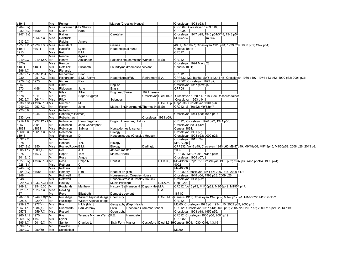| c1948                      |                             | <b>Mrs</b>  | Pulman                      |                  |                                   | Matron (Crossley House)            |                                |                                        |          | Crossleyan 1998 p23;                                                                             |
|----------------------------|-----------------------------|-------------|-----------------------------|------------------|-----------------------------------|------------------------------------|--------------------------------|----------------------------------------|----------|--------------------------------------------------------------------------------------------------|
| 1964 (By)                  |                             | <b>Miss</b> | <b>Quaterman (Mrs Shaw)</b> |                  |                                   |                                    |                                |                                        |          | CPP084; Crossleyan 1963 p10;                                                                     |
| $1982$ (By) $\sqrt{51984}$ |                             | Ms          | Quinn                       | Kate             |                                   |                                    |                                |                                        |          | CFP235                                                                                           |
| 1947 (By)                  |                             | Mr          | Raines                      |                  |                                   | Caretaker                          |                                |                                        |          | Crossleyan 1947 p25; 1946 p31/3/45; 1948 p52;                                                    |
|                            | 1954.7.X                    | Miss        | Raistrick                   |                  |                                   |                                    |                                |                                        |          | M9/54p54<br>mg.54                                                                                |
| 1913.5.X                   |                             | Mr          | Ralphs                      | Arnold           |                                   |                                    |                                |                                        |          |                                                                                                  |
|                            | 1927.7.26 (1929.7.30 (Miss) |             | Ramstedt                    |                  |                                   | Games                              |                                |                                        |          | 4001, Rep1927; Crossleyan 1928 p91; 1929 p29; 1930 p31; 1942 p84;                                |
| c1911                      | >1911                       | <b>Mrs</b>  | Ratcliffe                   | Lydia            |                                   | Head hospital nurse                |                                |                                        |          | Census 1911;                                                                                     |
| 1913                       |                             | <b>Miss</b> | $ $ Reid                    | E.M.             |                                   |                                    |                                |                                        |          | CR017                                                                                            |
| 1872                       |                             | <b>Miss</b> | Rennie                      | Agnes            |                                   |                                    |                                |                                        |          |                                                                                                  |
| 1919.9.X                   | $1919.12.X$ Mr              |             | Renny                       | Alexander        |                                   |                                    | Paladins Housemaster   Worksop |                                        | B.Sc.    | CR012                                                                                            |
| 1870s                      |                             | <b>Miss</b> | Renton                      |                  |                                   |                                    |                                |                                        |          | Crossleyan 1924 May p23;                                                                         |
| c1891                      | c1891                       | <b>Mrs</b>  | Retallick                   | Elizabeth        |                                   |                                    | Laundrymaid/domestic servant   |                                        |          | Census 1891;                                                                                     |
| 1896.4.X                   |                             | <b>Miss</b> | Richards                    |                  |                                   |                                    |                                |                                        |          |                                                                                                  |
|                            | 1937.9.17 1937.11.4         | $\vert$ Mr  | Richardson                  | Brian            |                                   |                                    |                                |                                        |          | CR012                                                                                            |
| 1930                       | 1951.7.X                    | Miss        | Richardson                  | E.M. (Ricky)     |                                   | Headmistress/RS                    |                                | Retirement   B.A.                      |          | CPP332; M9/48p68; M9/51p42,44-48; Crossleyan 1930 p107; 1974 p43 p62; 1990 p32; 2001 p37;        |
| 1970 (By) 1973             |                             | Mr          | Riches                      | Ray              |                                   |                                    |                                |                                        |          | CPP362; Crossleyan 1972 p2;                                                                      |
| 1967                       |                             | <b>Mrs</b>  | Rider                       |                  |                                   | English                            |                                |                                        |          | Crossleyan 1967 (new) p7;                                                                        |
| 1973                       | > 1984                      | <b>Mrs</b>  | Ridgeway                    | Jane             |                                   | English                            |                                |                                        |          | CPP091                                                                                           |
| 1871                       |                             | Mr          | Riley                       | Alfred           |                                   | Engineer/Stoker                    |                                | 1871 census                            |          |                                                                                                  |
| 1878                       | 1911                        | Mr          | Riley                       | Edgar (Eggey)    |                                   |                                    |                                |                                        |          | Crossleyan Died 1928   Crossleyan 1958 p17 p18; See Research folder                              |
| 1962.9.X                   | 1964(>)                     | Miss        | Riley                       |                  |                                   | Sciences                           |                                |                                        |          | Crossleyan 1963 p14;                                                                             |
|                            | 1936.7.31 (>1937.7.31 Ms)   |             | Rimmer                      | М.               |                                   |                                    |                                |                                        |          | B.Sc., Dip. FRep1936; Crossleyan 1940 p26                                                        |
| 1949.9.X                   | 1953.7.X                    | $\vert$ Mr  | Ripley                      | John             |                                   |                                    |                                | Maths (Snr. Heckmondy Thornes Hd B.Sc. |          | CR012; M1/50p22; M9/53p47                                                                        |
| 1920.6.9                   |                             | <b>Miss</b> | Roberts                     |                  |                                   |                                    |                                |                                        |          |                                                                                                  |
|                            | 1946                        | <b>Miss</b> | Roberts(m.Holmes)           |                  |                                   |                                    |                                |                                        |          | Crossleyan 1944 p38; 1946 p42;                                                                   |
| 1933 (by)                  |                             | <b>Mrs</b>  | Robertshaw                  |                  |                                   |                                    |                                | Crossleyan 1933 p69;                   |          |                                                                                                  |
| 1919.1.9                   | 1927.12.21 Mr               |             | Robinson                    | Harry Bagshaw    |                                   | <b>English Literature, History</b> |                                |                                        |          | CR012; Crossleyan 1928 p22; 1941 p56;                                                            |
| 1967                       | 2001                        | Mr          | Robinson                    | John Christopher |                                   |                                    |                                |                                        |          | Crossleyan 2004 p12;                                                                             |
|                            | c1891                       | Miss        |                             | Sabina           |                                   |                                    |                                |                                        |          | Census 1891;                                                                                     |
| c1891                      | 1961.7.X                    |             | Robinson                    |                  |                                   | Nurse/domestic servant             |                                |                                        |          |                                                                                                  |
| 1960.9.X                   |                             | Miss        | Robinson                    |                  |                                   | Biology                            |                                |                                        |          | Crossleyan 1961 p9;                                                                              |
| c1948                      |                             | Mrs         | Robinson                    | D.               |                                   |                                    | Housemistress (Crossley House) |                                        |          | Crossleyan 1998 p23; 2009 p26;                                                                   |
| 1892.9.26                  |                             | Mr          | Robson                      | Η.               |                                   |                                    |                                |                                        |          | Crossleyan 1911 p24                                                                              |
| 1978                       |                             | Mr          | Robson                      | T.N.             |                                   | Biology                            |                                |                                        |          | M1977/8p3                                                                                        |
| 1947 (By) 1950             |                             | <b>Miss</b> | Rocket/Rocke E.M.           |                  |                                   | Biology                            |                                | Darlington                             |          | CPP332; Vol 5 p49; Crssleyan 1946 p60;M9/47p49; M9/48p66; M5/48p45; M9/50p59; 2008 p26; 2013 p9; |
| 1905.1.17   1909(>)        |                             | Mr          | Roll                        | J.R.             |                                   | 4th fom master                     |                                |                                        |          | 2035                                                                                             |
| 1975                       | > 1977                      | Mr          | Roper                       | Tom              |                                   | Maths (Head)                       |                                |                                        |          | CPP087; M1974/5(1975)p3 p45;                                                                     |
| 1901.8.10                  |                             | Mr          | Ross                        | Angus            |                                   |                                    |                                |                                        |          | Crossleyan 1958 p57;                                                                             |
|                            | 1927 (By)  >1937.7.31 Mr    |             | Ross                        | Ralph N.         |                                   | Dentist                            |                                |                                        |          | B.Ch.D., L. M5/49p36, Rep1927; Crossleyan 1936 p62; 1937 p39 (and photo); 1939 p74;              |
| 1928 (By)                  |                             | <b>Miss</b> | Rothera                     | С.               |                                   |                                    |                                |                                        |          | 4002                                                                                             |
| 1948 (By)                  |                             | <b>Miss</b> | Rothera                     | М.               |                                   |                                    |                                |                                        |          | M9/48p68                                                                                         |
| 1964 (By)   > 1984         |                             | <b>Miss</b> | Rothery                     | Rita             |                                   | Head of English                    |                                |                                        |          | CPP082; Crossleyan 1964 p6; 2007 p18; 2009 p17;                                                  |
| 1948                       |                             | Mr          | Rothwell                    | E.               |                                   |                                    | Housemaster, Crossley House    |                                        |          | Crossleyan 1948 p54; 1998 p23; 2009 p26;                                                         |
| 1948                       |                             | <b>Mrs</b>  | Rothwell                    |                  |                                   |                                    | Housemistress (Crossley House) |                                        |          | Crossleyan 1998 p22;                                                                             |
|                            | 1929.7.30 (1933.7.31 (Ms)   |             | Routley                     |                  |                                   | Music (Visiting)                   |                                |                                        | L.R.A.M. | Rep1929                                                                                          |
| 1949.9.1                   | 1954.6.30 Mr                |             | Rowlands                    | Matthew          |                                   |                                    |                                | History (Se Hanson H. Speputy Hed M.A. |          | CR012; Vol 5 p73; M1/50p22; M9/53p49; M1954 p47;                                                 |
| 1921.9.1                   | 1923.7.X                    | Miss        | Rowling                     |                  |                                   |                                    |                                |                                        | B.A.     |                                                                                                  |
| 1871                       |                             | Ms          | Royd                        | Elizabeth        |                                   | Domestic servant                   |                                |                                        |          | 1871C                                                                                            |
| 1907.8.9                   | $1949.7.X(?)$ Mr            |             | Rucklidge                   |                  | William Aspinall (Rags) Chemistry |                                    |                                |                                        |          | B.Sc., M.SdCensus 1911; Crossleyan 1943 p32; M1/45p17, 41; M1/50p22; M1912-No.2                  |
| 1928.3.1                   | 1929(>)                     | Mr          | Rucklidge                   |                  | <b>William Aspinall (Rags)</b>    |                                    |                                |                                        |          | CR012                                                                                            |
| 1959.9.X                   | 1977(>)                     | Mrs         | Rush                        | Hilda (Ma)       |                                   | Geography (Dep. Head)              |                                |                                        |          | M3/60; Crossleyan 1973 p3; 1994 p10; 2002 p39; 2005 p18;                                         |
| 1957.1.1                   | 1984(>)                     | Mr          | Rushworth                   | Paul Jeremy      |                                   | _atin                              |                                | Rochdale Grammar School                |          | CR012; Crossleyan 1957 p13; 2000 p13; 2005 p20; 2007 p5; 2009 p15 p21; 2013 p19;                 |
| 1957/8                     | 1959.7.X                    | Miss        | <b>Russell</b>              |                  |                                   | Geography                          |                                |                                        |          | Crossleyan 1958 p18; 1959 p56;                                                                   |
| 1960.1.12 1970             |                             | Mr          | Ryan                        |                  | Terence Michael (Terry) P.E.      |                                    | Harrogate                      |                                        |          | CR012; Crossleyan 1960 p56; 2005 p19;                                                            |
| 1969 (By)  >1970           |                             | Mrs         | Ryder                       |                  |                                   |                                    |                                |                                        |          | CPP082                                                                                           |
| 1895.1.X                   | 1901.6.X                    | Mr          | Saniter                     | Charles J.       |                                   | Sixth Form Master                  |                                |                                        |          | Castleford   Died 4.3.19 Census 1901; 1030; Cr d. 4.3.1914                                       |
| 1899.8.12                  |                             | Mr          | Sawdon                      | Е.               |                                   |                                    |                                |                                        |          |                                                                                                  |
| 1959.9.X 1959/60           |                             | Mrs         | Scholefield                 |                  |                                   |                                    |                                |                                        |          | M3/60                                                                                            |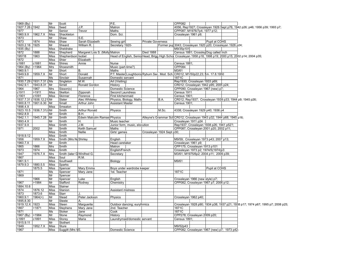| 1969 (By)          |                           | Mr          | Scott                      |                                | P.E.                    |                               |                   |                                                                                | CPP082                          |                                          |                                                                      |                                                                                                           |
|--------------------|---------------------------|-------------|----------------------------|--------------------------------|-------------------------|-------------------------------|-------------------|--------------------------------------------------------------------------------|---------------------------------|------------------------------------------|----------------------------------------------------------------------|-----------------------------------------------------------------------------------------------------------|
| 1927.7.26 (1942)   |                           | Miss        | Seed                       | J.P.                           | Matron                  |                               |                   |                                                                                |                                 |                                          |                                                                      | 4056, Rep1927; Crossleyan 1926 Sept p76; 1942 p26; p46; 1956 p39; 1993 p7;                                |
| 1977               |                           | Mr          | Senior                     | Trevor                         | <b>Maths</b>            |                               |                   |                                                                                | CPP087; M1976/7p4; 1977 p12;    |                                          |                                                                      |                                                                                                           |
| 1960.9.X           | 1962.7.X                  | Miss        | Shackleton                 |                                | Dom. Sci.               |                               |                   |                                                                                | Crossleyan 1961 p9;             |                                          |                                                                      |                                                                                                           |
| 1873               |                           | Mr          | Shaw                       | S.E.                           |                         |                               |                   |                                                                                |                                 |                                          |                                                                      |                                                                                                           |
| 1873               | 1874                      | Miss        | Shaw                       | Sarah Elizabeth                | Sewing girl             |                               | Private Governess |                                                                                |                                 | Pupil at COHS                            |                                                                      |                                                                                                           |
| 1920.2.16          | 1925                      | Mr          | Sheard                     | William R.                     | Secretary 1920-         |                               |                   |                                                                                |                                 |                                          | Former pud 3043; Crossleyan 1920 p20; Crossleyan 1926 p24;           |                                                                                                           |
| 1935 (By)          |                           | Miss        | Sheldrake                  |                                |                         |                               |                   |                                                                                | M9/35p101                       |                                          |                                                                      |                                                                                                           |
| 1872               | 1888                      | Miss        | Shepherd                   | Margaret Lois S. (Molly Matron |                         |                               | Died 1888         |                                                                                |                                 | Census 1881; Crossley Dog called Inch    |                                                                      |                                                                                                           |
| 1957/8             | 1963                      | Miss        | Shepherdson Isobel         |                                |                         |                               |                   |                                                                                |                                 |                                          |                                                                      | Head of English, Senio Head, Brigg High Scho Crossleyan 1958 p18; 1998 p19; 2000 p15; 2002 p14; 2004 p35; |
| 1872               |                           | Miss        | Shier                      | Elizabeth                      |                         |                               |                   |                                                                                |                                 |                                          |                                                                      |                                                                                                           |
| c1881              | c1881                     | Miss        | Shires                     | Annie                          | Nurse                   |                               |                   |                                                                                | Census 1881;                    |                                          |                                                                      |                                                                                                           |
| $1964$ (By)        | > 1964                    | Mrs         | Shoesmith                  |                                | Music (part-time?)      |                               |                   |                                                                                | CPP084                          |                                          |                                                                      |                                                                                                           |
| 1960.9.1           |                           | Mr          | Short                      | IB.                            | Maths                   |                               |                   |                                                                                | M3/61                           |                                          |                                                                      |                                                                                                           |
| 1949.9.8           | 1959.7.X                  | Mr          | Short                      | Donald                         |                         |                               |                   | P.T. Master Loughborol Ryburn Sec. Mod. Sch. CR012; M1/50p22,23; Im. 17.8.1950 |                                 |                                          |                                                                      |                                                                                                           |
| 1871               |                           | Ms          | Sinclair                   | Susannah                       | Domestic servant        |                               |                   |                                                                                | 1871C                           |                                          |                                                                      |                                                                                                           |
|                    | 1930.7.29 (1931.7.31 (Ms) |             | Singleton                  | M.W.                           | Art (Visiting)          |                               |                   |                                                                                | Rep1930; Crossleyan 1933 p69;   |                                          |                                                                      |                                                                                                           |
| 1942.9.1           | 1943.8.31 Mr              |             | Sirrell                    | Ronald Gordon                  | History                 |                               |                   |                                                                                |                                 | CR012; Crossleyan 1942 p95; 2005 p24;    |                                                                      |                                                                                                           |
| 1964               | 1967                      | Mrs         | $\sqrt{\text{Sisson}}(s)$  |                                | Domestic Science        |                               |                   |                                                                                |                                 | CPP090; Crossleyan 1967 (new) p7;        |                                                                      |                                                                                                           |
| c1911              | > 1911                    | Miss        | Skelton                    | Zipporah                       | <b>Second Laundress</b> |                               |                   |                                                                                | Census 1911                     |                                          |                                                                      |                                                                                                           |
| c1901              | c1091                     | Miss        | Skinner                    | Florence                       | First kitchenmaid       |                               |                   |                                                                                | Census 1901;                    |                                          |                                                                      |                                                                                                           |
|                    | 1937.7.31 (1938.12.21 Mr  |             | Slater                     | <b>Alec Whiteley</b>           |                         | Physics, Biology, Maths       |                   | B.A.                                                                           |                                 |                                          |                                                                      | CR012; Rep1937; Crossleyan 1939 p33; 1944 p9; 1945 p26;                                                   |
| 1900.8.11          | 1901.6.30 Mr              |             | Small                      | Arthur John                    | <b>Assistant Master</b> |                               |                   |                                                                                | Census 1901;                    |                                          |                                                                      |                                                                                                           |
| 1898.4.X           |                           | Miss        | Smeaton                    |                                |                         |                               |                   |                                                                                |                                 |                                          |                                                                      |                                                                                                           |
|                    | 1923.10.5 1936.7.31( Mr   |             | Smith                      | <b>Arthur Ronald</b>           | Physics                 |                               |                   | M.Sc.                                                                          |                                 | 4338; Crossleyan 1929 p40; 1936 p4       |                                                                      |                                                                                                           |
| 1902.8.9           |                           | Mr          | Smith                      | B.H.                           |                         |                               |                   |                                                                                |                                 |                                          |                                                                      |                                                                                                           |
| 1942.1.1           | 1945.7.28 Mr              |             | Smith                      | Edwin Malcolm Ramse Physics    |                         |                               |                   |                                                                                |                                 |                                          | Alleyne's Grammar SchCR012; Crossleyan 1943 p32; 1944 p68; 1945 p16; |                                                                                                           |
| 1893.4.X           |                           | Mr          | Smith                      | Η.                             | Music teacher           |                               |                   |                                                                                | Crossleyan 1911 p24             |                                          |                                                                      |                                                                                                           |
| 1937.9.X           |                           | Miss        | Smith                      | J.M.                           |                         | Junior form, music, elocution |                   |                                                                                |                                 | Rep1937; Crossleyan 1938 p26; 1941 p52?; |                                                                      |                                                                                                           |
| 1971               | 2002                      | Mr          | Smith                      | <b>Keith Samuel</b>            | Maths                   |                               |                   |                                                                                |                                 | CPP087; Crossleyan 2001 p20; 2002 p11;   |                                                                      |                                                                                                           |
|                    |                           | Miss        | Smith                      | Nellie                         | Girls' games            |                               |                   | Crossleyan 1924 Sept p30;                                                      |                                 |                                          |                                                                      |                                                                                                           |
| 1918.9.12          |                           | Miss        | Smith                      |                                |                         |                               |                   |                                                                                |                                 |                                          |                                                                      |                                                                                                           |
| 1956               | 1959.7.X                  | Miss        | Smith (Mrs Nu Shirley      |                                | English                 |                               |                   |                                                                                |                                 | M9/59; Crossleyan 1973 p43; 2007 p13;    |                                                                      |                                                                                                           |
| 1960.7.X           |                           | Mr          | Smith                      |                                | <b>Head caretaker</b>   |                               |                   |                                                                                | Crossleyan 1961 p9;             |                                          |                                                                      |                                                                                                           |
| 1865               | 1866                      | Mrs         | Smith                      |                                | Matron                  |                               |                   |                                                                                | CPP175; Crossleyan 1913 p101    |                                          |                                                                      |                                                                                                           |
| 1973               | 1974                      | Miss        | Smith                      |                                | English/French          |                               |                   |                                                                                |                                 | Crossleyan 1973 p2; 1974/5(1974)p3       |                                                                      |                                                                                                           |
| 1947               | 1976.7.X                  | Mrs         | Smith (later G Winifred G. |                                | Secretary               |                               |                   |                                                                                |                                 | M3/61; M1975/6p2; 2004 p11; 2009 p39;    |                                                                      |                                                                                                           |
| 1867               |                           | Miss        | Soul                       | R.M.                           |                         |                               |                   |                                                                                |                                 |                                          |                                                                      |                                                                                                           |
| 1961.9.1           |                           | <b>Miss</b> | Southwell                  |                                | Biology                 |                               |                   |                                                                                | M9/61                           |                                          |                                                                      |                                                                                                           |
| 1879.9.3           | 1880.5.5                  | Miss        | Sparks                     |                                |                         | Boys under wardrobe keeper    |                   |                                                                                |                                 |                                          |                                                                      |                                                                                                           |
|                    | 1875.5                    | Miss        | Spencer                    | Mary Emma                      |                         |                               |                   |                                                                                | 1871C                           | Pupil at COHS                            |                                                                      |                                                                                                           |
| 1871<br>1869       |                           | Ms<br>Mr    | Spencer<br>Spencer         | Mary Jane                      | 1st. Teacher            |                               |                   |                                                                                |                                 |                                          |                                                                      |                                                                                                           |
|                    | 1966                      | Mr          | Spencer                    | Luke                           | English                 |                               |                   |                                                                                | Crossleyan 1966 (new style) p7; |                                          |                                                                      |                                                                                                           |
| 1967               | > 1984                    | Mr          | Stafford                   | Rodney                         | Chemistry               |                               |                   |                                                                                |                                 | CPP082; Crossleyan 1967 p7; 2006 p12;    |                                                                      |                                                                                                           |
| 1884.10.6          |                           | <b>Miss</b> | Stainer                    |                                |                         |                               |                   |                                                                                |                                 |                                          |                                                                      |                                                                                                           |
| 1874               | 1876.12                   | Miss        | Stanion                    |                                | Assistant mistress      |                               |                   |                                                                                |                                 |                                          |                                                                      |                                                                                                           |
| 1873               | 1873.6                    | Miss        | Starr                      |                                |                         |                               |                   |                                                                                |                                 |                                          |                                                                      |                                                                                                           |
| 1960.9.1           | 1964(>)                   | Mr]         | Stead                      | Peter Jackson                  | Physics                 |                               |                   |                                                                                | Crossleyan 1962 p40;            |                                          |                                                                      |                                                                                                           |
| 1895.8.30          |                           | Mr          | Steele                     | А.                             |                         |                               |                   |                                                                                |                                 |                                          |                                                                      |                                                                                                           |
| 1919.12.X 1923     |                           | Miss        | Steen                      | Marguerite                     |                         | Outdoor dancing; eurythmics   |                   |                                                                                |                                 |                                          |                                                                      | Crossleyan 1928 p90; 1934 p38; 1937 p21; 1938 p17; 1974 p67; 1995 p7; 2008 p25;                           |
| 1867               | > 1871                    | Miss        | Stephens                   | Mary Jane                      | 2nd. Teacher            |                               |                   |                                                                                | 1871C                           |                                          |                                                                      |                                                                                                           |
| 1871               |                           | Ms          | Stoker                     | Jane                           | Cook                    |                               |                   |                                                                                | 1871C                           |                                          |                                                                      |                                                                                                           |
| 1967 (By)   > 1984 |                           | Mr          | Stone                      | Raymond                        | History                 |                               |                   |                                                                                | CPP278; Crossleyan 2009 p20;    |                                          |                                                                      |                                                                                                           |
| c1891              | c1891                     | Miss        | Storey                     | Maria                          |                         | Laundrymaid/domestic servant  |                   |                                                                                | Census 1891;                    |                                          |                                                                      |                                                                                                           |
| 1915.9.11          |                           | Mr          | Stothert                   |                                |                         |                               |                   |                                                                                |                                 |                                          |                                                                      |                                                                                                           |
| 1949               | 1952.7.X                  | Miss        | Sture                      |                                |                         |                               |                   |                                                                                | M9/52p43                        |                                          |                                                                      |                                                                                                           |
| 1967               |                           | Miss        | Suggitt (Mrs VE.           |                                | Domestic Science        |                               |                   |                                                                                |                                 |                                          | CPP082; Crossleyan 1967 (new) p7; 1973 p42;                          |                                                                                                           |
|                    |                           |             |                            |                                |                         |                               |                   |                                                                                |                                 |                                          |                                                                      |                                                                                                           |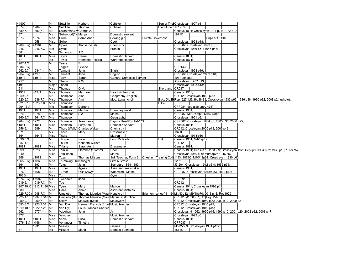| $ $ < 1909                 |                          | Mr          | Sutcliffe                                            | Herbert                |                                     | Cobbler                   |                                 |                                                                     | Son of Thor Crossleyan 1997 p11; |                      |                                |                                                               |                                                                                              |
|----------------------------|--------------------------|-------------|------------------------------------------------------|------------------------|-------------------------------------|---------------------------|---------------------------------|---------------------------------------------------------------------|----------------------------------|----------------------|--------------------------------|---------------------------------------------------------------|----------------------------------------------------------------------------------------------|
| 1874                       | 1909                     | Mr          | Sutcliffe                                            | Thomas                 |                                     | Cobbler                   |                                 |                                                                     | Died June 5th 1913               |                      |                                |                                                               |                                                                                              |
| 1889.7.1                   | 1892(>)                  | Mr          | Sweatman/Sw George A.                                |                        |                                     |                           |                                 |                                                                     |                                  |                      |                                | Census 1891; Crossleyan 1911 p24; 1972 p19;                   |                                                                                              |
| 1871                       |                          | Ms          | Swinwood(?) Maryann                                  |                        |                                     | Domestic servant          |                                 |                                                                     |                                  | 1871C                |                                |                                                               |                                                                                              |
| 1873                       | 1874                     | Miss        | Swire                                                | Sarah Anne             |                                     | Sewing girl               |                                 | <b>Private Governess</b>                                            |                                  |                      |                                | Pupil at COHS                                                 |                                                                                              |
|                            | 1958                     | Miss        | Swire                                                |                        |                                     | Cook                      |                                 |                                                                     |                                  | Crossleyan 1958 p18; |                                |                                                               |                                                                                              |
| $1969$ (By)                | >1984                    | Mr          | Sykes                                                | Alan (Crystal)         |                                     | Chemistry                 |                                 |                                                                     |                                  |                      | CPP082; Crossleyan 1993 p5;    |                                                               |                                                                                              |
| 1946                       | 1946.7.X                 | Mrs         | Sykes                                                |                        |                                     | French                    |                                 |                                                                     |                                  |                      | Crossleyan 1946 p57; 1946 p43; |                                                               |                                                                                              |
| 1881                       |                          | Mr          | Symonds                                              | J.R.                   |                                     |                           |                                 |                                                                     |                                  |                      |                                |                                                               |                                                                                              |
| c1881                      | c1881                    | <b>Miss</b> | Taylor                                               | Harriet                |                                     | Domestic Servant          |                                 |                                                                     |                                  | Census 1881;         |                                |                                                               |                                                                                              |
| 1871                       |                          | Ms          | Taylor                                               | Henrietta Priscilla    |                                     | Wardrobe keeper           |                                 |                                                                     |                                  | Census 1871;         |                                |                                                               |                                                                                              |
| 1907.4.X                   |                          | Mr          | Teece                                                |                        |                                     |                           |                                 |                                                                     |                                  |                      |                                |                                                               |                                                                                              |
| 1984 (By)                  |                          |             |                                                      | Glynne                 |                                     |                           |                                 |                                                                     |                                  | CPP143               |                                |                                                               |                                                                                              |
| 1962.9.X                   | 1984(>)                  | Mr]         | Teggin                                               | John                   |                                     |                           |                                 |                                                                     |                                  |                      |                                |                                                               |                                                                                              |
|                            |                          |             | <b>Tennant</b>                                       |                        |                                     | English                   |                                 |                                                                     |                                  | Crossleyan 1963 p19; |                                |                                                               |                                                                                              |
| $1964$ (By) $\sqrt{51976}$ |                          | Mr          | Tennant                                              | John                   |                                     | English                   |                                 |                                                                     |                                  |                      | CPP082; Crossleyan 2009 p18;   |                                                               |                                                                                              |
| c1911                      | c1911                    | Miss        | <b>Terry</b>                                         | Sarah                  |                                     |                           | <b>General Domestic Servant</b> |                                                                     |                                  | 1911 census;         |                                |                                                               |                                                                                              |
| 1957                       |                          | Mr          | Tharm                                                | K.W.                   |                                     |                           |                                 |                                                                     |                                  |                      | Crossleyan 1957 p13;           |                                                               |                                                                                              |
| c1910                      |                          | Major       | Theed                                                |                        |                                     |                           |                                 |                                                                     |                                  | Crossleyan 1993 p13; |                                |                                                               |                                                                                              |
| 1911                       |                          | <b>Miss</b> | Thomas                                               | G.M.                   |                                     |                           |                                 |                                                                     | Shorthand CR017                  |                      |                                |                                                               |                                                                                              |
| c1911                      | >1911                    | Miss        | Thomas                                               | Margaret               |                                     | Head kitchen maid         |                                 |                                                                     |                                  | Census 1911;         |                                |                                                               |                                                                                              |
| 1959.9.1                   |                          | Mr          | Thompson                                             | Alan                   |                                     | Geography, English        |                                 |                                                                     |                                  |                      | CR012; Crossleyan 1960 p20;    |                                                               |                                                                                              |
| 1920.9.X                   | 1936.7.X                 | Miss        | Thompson                                             | Amy                    |                                     | Mod. Lang., choir         |                                 |                                                                     |                                  |                      |                                |                                                               | B.A., Dip.E(Rep1927; M9/36p88-89; Crossleyan 1933 p69; 1936 p88; 1990 p32; 2008 p24 (photo); |
| 1921.9.1                   | 1923.7.X                 | Miss        | Thompson                                             | D.B.                   |                                     |                           |                                 |                                                                     | B.Sc.                            |                      |                                |                                                               |                                                                                              |
| 1964 (By)                  |                          | <b>Mrs</b>  | Thompson                                             | Dorothy                |                                     |                           |                                 |                                                                     |                                  |                      | CPP084 (see also entry 476)    |                                                               |                                                                                              |
| c1901                      | c1901                    | Mrs         | Thompson                                             | Martha                 |                                     | Dormitary maid            |                                 |                                                                     |                                  | Census 1901;         |                                |                                                               |                                                                                              |
| 1976                       | 1978                     | Mrs         | Thompson                                             | S.A.                   |                                     | <b>Maths</b>              |                                 |                                                                     |                                  |                      | CPP087; M1975/6p3; M1977/8p3   |                                                               |                                                                                              |
| 1960.9.X                   | 1961.7.X                 | Mrs         | Thompson                                             |                        |                                     | Geography                 |                                 |                                                                     |                                  | Crossleyan 1961 p9;  |                                |                                                               |                                                                                              |
| 1964 (By) 1972             |                          | <b>Miss</b> | Thomson                                              | Jean Laura             |                                     |                           | Deputy Head/English/RS          |                                                                     |                                  |                      |                                | CPP082; Crossleyan 1964 p6; 2005 p35; 2006 p25;               |                                                                                              |
| c1881                      | c1881                    | <b>Miss</b> | Thomson                                              | Lucy Ann               |                                     | <b>Domestic Servant</b>   |                                 |                                                                     |                                  | Census 1881;         |                                |                                                               |                                                                                              |
| 1956.9.1                   | 1989                     | Mr          | Thorp (Wally) Charles Walter                         |                        |                                     | Chemistry                 |                                 |                                                                     |                                  |                      |                                | CR012; Crossleyan 2000 p13; 2009 p43;                         |                                                                                              |
| 1871                       |                          | Ms          | Thorp                                                | Mary                   |                                     | Dressmaker                |                                 |                                                                     |                                  | 1871C                |                                |                                                               |                                                                                              |
| 1864                       | 1864/5                   | Miss        | Thorp                                                |                        |                                     | Matron                    |                                 |                                                                     |                                  |                      | Crossleyan 1913 p101           |                                                               |                                                                                              |
| 1896.8.X                   |                          | Mr          | Thorpe                                               | Isaac                  |                                     | Form IV leader            |                                 |                                                                     | B.A.                             |                      | Census 1901; M4/12p17          |                                                               |                                                                                              |
| 1957.1.1                   |                          | Mr          | Thurm                                                | <b>Kenneth William</b> |                                     |                           |                                 |                                                                     |                                  | CR012                |                                |                                                               |                                                                                              |
| c1891                      | c1891                    | Miss        | <b>Tiffany</b>                                       | Sarah Ann              |                                     | Dressmaker                |                                 |                                                                     |                                  | Census 1891;         |                                |                                                               |                                                                                              |
| 1899                       | 1923                     | <b>Miss</b> | Tomlin                                               | Florence ('Florrie')   |                                     | Cook                      |                                 |                                                                     |                                  |                      |                                |                                                               | Census 1901; Census 1911; 3399; Crossleyan 1923 Sept p9; 1934 p92; 1938 p16; 1958 p57        |
| 1940                       |                          | <b>Miss</b> | Tomlinson                                            |                        |                                     | Maths                     |                                 |                                                                     |                                  |                      |                                | Crossleyan 1940 p26; M9/43p76 1946 p57;                       |                                                                                              |
| 1868                       | c1872                    | Mr          | Tozer                                                | Thomas Milsom          |                                     | 3rd. Teacher; Form 2      |                                 | Cheshunt Training Coll 1193; 1871C; M10/12p61; Crossleyan 1930 p62; |                                  |                      |                                |                                                               |                                                                                              |
| 1865 (By)                  | >1866                    | <b>Miss</b> | Trumming (Trimming?)                                 |                        |                                     | <b>First Mistress</b>     |                                 |                                                                     |                                  | 1282                 |                                |                                                               |                                                                                              |
| 1864                       | 1893                     | Mr          | Tuley                                                | John                   |                                     | Secretary 1864-1893       |                                 |                                                                     |                                  |                      |                                | J3-204; Crossleyan 1912 p2-4; 1956 p34;                       |                                                                                              |
| c1901                      | c1901                    | <b>Miss</b> | Turner                                               | Agnes                  |                                     | Assistant dressmaker      |                                 |                                                                     |                                  | Census 1901;         |                                |                                                               |                                                                                              |
| 1976                       | >1982                    | Mr          | Turner                                               | Ollie (Alwyn)          |                                     | Woodwork, Maths           |                                 |                                                                     |                                  |                      |                                | CPP087; Crossleyan 1975/6 p3; 2002 p12;                       |                                                                                              |
| c1930s                     |                          | Miss        | Tutt                                                 |                        |                                     | Gym                       |                                 |                                                                     |                                  |                      |                                |                                                               |                                                                                              |
| 1974 (By)  >1982           |                          | Ms          | Tweedale                                             | Joan                   |                                     |                           |                                 |                                                                     |                                  | CPP091               |                                |                                                               |                                                                                              |
| 1919.6.1                   | 1919.7.X                 | Mr          | Tye                                                  |                        |                                     |                           |                                 |                                                                     |                                  | CR012                |                                |                                                               |                                                                                              |
|                            |                          |             | <b>Tyers</b>                                         | Mary                   |                                     | Matron                    |                                 |                                                                     |                                  |                      |                                | Census 1911; Crossleyan 1993 p12;                             |                                                                                              |
| 1880                       |                          | <b>Miss</b> | Udall                                                | Annie                  |                                     | <b>Assistant Mistress</b> |                                 |                                                                     |                                  | Census 1881;         |                                |                                                               |                                                                                              |
| 1929.7.30 (1948.7.X)       |                          | Mr          | Umpleby                                              |                        | Thomas Maurice (Maur Handicraft     |                           |                                 |                                                                     |                                  |                      |                                | Brighton (school) in 194M1/43p32, M9/48p70; 2013 p13; Rep1929 |                                                                                              |
|                            | 1928.1.18  1937.7.31(∤Mr |             | Umpleby (Bur Thomas Maurice (Maur Manual instruction |                        |                                     |                           |                                 |                                                                     |                                  |                      | CR012; M1/36p37; Cro Boy 1546  |                                                               |                                                                                              |
| 1959.9.1                   | 1969(>)                  | Mr          | Uttley                                               | Maxwell (Max)          |                                     | Metalwork                 |                                 |                                                                     |                                  |                      |                                | CR012; Crossleyan 1960 p20; 2002 p12; 2009 p21;               |                                                                                              |
| 1893.8.X                   | 1923.7.31 Mr             |             | Van Dyk                                              |                        | Herman Francois Charl Music teacher |                           |                                 |                                                                     |                                  |                      | CR012; Crossleyan 1940 p72;    |                                                               |                                                                                              |
|                            | 1919.10.5  1922.7.26  Mr |             | Van Dyk                                              |                        | Louis Francois Charles              |                           |                                 |                                                                     |                                  |                      | CR012, Crossleyan 1949 p49;    |                                                               |                                                                                              |
| 1962                       | 1977(>)                  | Mr          | Vaughan                                              | John                   |                                     | Art                       |                                 |                                                                     |                                  |                      |                                |                                                               | Crossleyan 9-1962; 1990 p15; 1993 p10; 2001 p20; 2002 p32; 2008 p17;                         |
| 1877                       |                          | Miss        | Vawdrey                                              |                        |                                     | Music teacher             |                                 |                                                                     |                                  | Crossleyan 1922 p5   |                                |                                                               |                                                                                              |
| c1881                      | c1881                    | Miss        | Veale                                                | Eliza                  |                                     | Domestic Servant          |                                 |                                                                     |                                  | Census 1881;         |                                |                                                               |                                                                                              |
| 1976 (By)  >1984           |                          | Mr          | Verlander                                            | Timothy                |                                     |                           |                                 |                                                                     |                                  | CPP087               |                                |                                                               |                                                                                              |
|                            | 1931                     | Miss        | Vessey                                               |                        |                                     | Games                     |                                 |                                                                     |                                  |                      |                                | M5/35p69; Crossleyan 1931 p112;                               |                                                                                              |
| 1871                       |                          | Ms          | <b>Vickers</b>                                       | Maria                  |                                     | Domestic servant          |                                 |                                                                     |                                  | 1871C                |                                |                                                               |                                                                                              |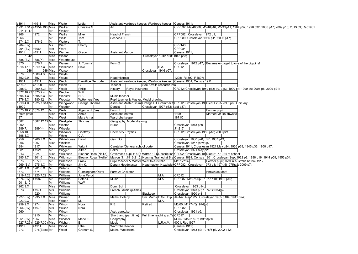| c1911               | > 1911                     | Miss                     | <b>Waite</b>      | Lydia                                                                                                             |                         | Assistant wardrobe keeper; Wardrobe keeper |                      |                                | Census 1911;                                                                                     |                             |                                          |                              |                                                                                                                                                          |
|---------------------|----------------------------|--------------------------|-------------------|-------------------------------------------------------------------------------------------------------------------|-------------------------|--------------------------------------------|----------------------|--------------------------------|--------------------------------------------------------------------------------------------------|-----------------------------|------------------------------------------|------------------------------|----------------------------------------------------------------------------------------------------------------------------------------------------------|
|                     | 1931.7.31 (>1954(1961Miss) |                          | <b>Walker</b>     | Christine S.                                                                                                      | Art                     |                                            |                      |                                |                                                                                                  |                             |                                          |                              | CPP332; M9/48p68; M5/48p46, M5/49p41; 1964 p37; 1990 p32; 2006 p17; 2009 p15; 2013 p9; Rep                                                               |
| 1914.11.17          |                            | Mr                       | <b>Walker</b>     |                                                                                                                   |                         |                                            |                      |                                |                                                                                                  |                             |                                          |                              |                                                                                                                                                          |
| 1966                | 1972                       | Mr                       | <b>Wallis</b>     | Mike                                                                                                              | Head of French          |                                            |                      |                                |                                                                                                  | CPP082; Crossleyan 1972 p1; |                                          |                              |                                                                                                                                                          |
| 1966                |                            | Mr                       | <b>Walls</b>      | Tom                                                                                                               | Scence/R.E.             |                                            |                      |                                |                                                                                                  |                             | CPP089; Crossleyan 1966 p11; 2006 p17;   |                              |                                                                                                                                                          |
| 1874.2.X            | 1876.9                     | Mr                       | <b>Walters</b>    |                                                                                                                   |                         |                                            |                      |                                |                                                                                                  |                             |                                          |                              |                                                                                                                                                          |
| 1984 (By)           |                            | Ms                       | Ward              | Sherry                                                                                                            |                         |                                            |                      |                                | <b>CPP143</b>                                                                                    |                             |                                          |                              |                                                                                                                                                          |
| 1964 (By)  >1964    |                            | Mrs                      | <b>Ward</b>       |                                                                                                                   |                         |                                            |                      |                                | <b>CPP084</b>                                                                                    |                             |                                          |                              |                                                                                                                                                          |
| c1911               | >1911                      | Miss                     | Warner            | Grace                                                                                                             | <b>Assistant Matron</b> |                                            |                      |                                | Census 1911;                                                                                     |                             |                                          |                              |                                                                                                                                                          |
| 1942                |                            | Miss                     | <b>Wason</b>      |                                                                                                                   |                         |                                            |                      | Crossleyan 1942 p20; 1946 p58; |                                                                                                  |                             |                                          |                              |                                                                                                                                                          |
| 1885 (By) 1886(>)   |                            | Miss                     | Waterhouse        |                                                                                                                   |                         |                                            |                      |                                |                                                                                                  |                             |                                          |                              |                                                                                                                                                          |
| 1875                | 1876.7                     | $\overline{\mathsf{Mr}}$ | <b>Waters</b>     | J. 'Tommy'                                                                                                        | Form 2                  |                                            |                      |                                |                                                                                                  |                             |                                          |                              | Crossleyan 1912 p17; dBecame engaged to one of the big girls!                                                                                            |
| 1918.1.13 1919.7.X  |                            | Miss                     | <b>Watkinson</b>  | Elsie                                                                                                             |                         |                                            |                      | B.A.                           | <b>CR012</b>                                                                                     |                             |                                          |                              |                                                                                                                                                          |
| 1946                | 1946 Miss                  |                          | Watson            |                                                                                                                   |                         |                                            | Crossleyan 1946 p57; |                                |                                                                                                  |                             |                                          |                              |                                                                                                                                                          |
| 1878                | 1880.4.30 Miss             |                          | <b>Wayte</b>      |                                                                                                                   |                         |                                            |                      |                                |                                                                                                  |                             |                                          |                              |                                                                                                                                                          |
| 1892.9.9            | 1897                       | Miss                     | <b>Wayte</b>      |                                                                                                                   | Headmistress            |                                            |                      |                                |                                                                                                  | 1295; R1892; R1897;         |                                          |                              |                                                                                                                                                          |
| c1901               | >1911                      | Miss                     | <b>Webb</b>       | Eve Alice Gertrude                                                                                                |                         | Assistant wardrobe keeper; Wardrobe keeper |                      |                                |                                                                                                  | Census 1901; Census 1911;   |                                          |                              |                                                                                                                                                          |
| C1897               | C <sub>1900</sub>          | Miss                     | <b>Webb</b>       | G.                                                                                                                | Teacher                 |                                            |                      | See Saville research info      |                                                                                                  |                             |                                          |                              |                                                                                                                                                          |
| 1958.9.1            | 1999.8.31 Mr               |                          | <b>Webb</b>       | Philip                                                                                                            | History                 | Royal Insurance                            |                      |                                |                                                                                                  |                             |                                          |                              | CR012; Crossleyan 1959 p18; 1973 p3; 1990 p4; 1999 p9; 2007 p6; 2009 p21;                                                                                |
| 1872.10.23 1873.2.4 |                            | $\overline{\mathsf{Mr}}$ | <b>Webber</b>     | W.H.                                                                                                              |                         |                                            |                      |                                |                                                                                                  |                             |                                          |                              |                                                                                                                                                          |
| 1894.1.X            | 1895.6.X                   | $\overline{\mathsf{Mr}}$ | Webster           | H.F.                                                                                                              | Music teacher           |                                            |                      |                                |                                                                                                  |                             |                                          |                              |                                                                                                                                                          |
| 1876.8.X            | 1880.12                    | Mr                       | <b>Webster</b>    | W.Homersh Yes                                                                                                     |                         | Pupil teacher & Master; Model drawing;     |                      |                                |                                                                                                  |                             |                                          |                              |                                                                                                                                                          |
| 1919.4.X            | 1925.7.31/tMr              |                          | Wedgwood          | George Thomas                                                                                                     |                         |                                            |                      |                                | Assistant Master; i/c maOrange Hill Grammar SCR012: Crossleyan 194Died 1.2.55 Vol 5 p66 Obituary |                             |                                          |                              |                                                                                                                                                          |
| c1900               |                            | Mr                       | Weeder            |                                                                                                                   | Dentist                 |                                            |                      | Crossleyan 1927 p33; Sept p87; |                                                                                                  |                             |                                          |                              |                                                                                                                                                          |
| 1875.10.X 1878.12   |                            | Mr                       | <b>Wells</b>      |                                                                                                                   | Form 1                  |                                            |                      |                                |                                                                                                  |                             |                                          |                              |                                                                                                                                                          |
|                     |                            |                          |                   | Algernon L. Yes<br>Annie                                                                                          |                         |                                            |                      |                                | 1199                                                                                             |                             | Former pupil                             | <b>Married Mr Douthwaite</b> |                                                                                                                                                          |
| 1890s (late)        |                            | Miss                     | <b>West</b>       |                                                                                                                   | <b>Assistant Matron</b> |                                            |                      |                                |                                                                                                  |                             |                                          |                              |                                                                                                                                                          |
| 1871                |                            | Ms                       | <b>West</b>       | Mary Anna                                                                                                         | Wardrobe keeper         |                                            |                      |                                | 1871C                                                                                            |                             |                                          |                              |                                                                                                                                                          |
| 1882                | 1887.12.19 Mr              |                          | Westgate          | Thomas                                                                                                            |                         | Geography; Model drawing                   |                      |                                |                                                                                                  |                             |                                          |                              |                                                                                                                                                          |
| 1902                |                            | Miss                     | <b>Weston</b>     |                                                                                                                   | <b>Nurse</b>            |                                            |                      |                                | Crossleyan 1913 p89                                                                              |                             |                                          |                              |                                                                                                                                                          |
| 1889.7.1            | 1889(>)                    | Miss                     | <b>Wheeler</b>    |                                                                                                                   |                         |                                            |                      |                                | $J1-217$                                                                                         |                             |                                          |                              |                                                                                                                                                          |
| 1958.10.6           |                            | Mr                       | <b>Whitaker</b>   | Geoffrey                                                                                                          | Chemistry, Physics      |                                            |                      |                                |                                                                                                  |                             | CR012; Crossleyan 1959 p18; 2009 p21;    |                              |                                                                                                                                                          |
| 1898.8. X           |                            | Mr                       | <b>White</b>      | C.A.                                                                                                              |                         |                                            |                      |                                |                                                                                                  |                             |                                          |                              |                                                                                                                                                          |
| 1959                | 1960.7.X                   | $\overline{\mathsf{Mr}}$ | <b>Whitehouse</b> | David                                                                                                             | Gen. Sci.               |                                            |                      |                                |                                                                                                  |                             | Crossleyan 1960 p20; p57; 1967 p43;      |                              |                                                                                                                                                          |
| 1966                | 1967                       | Miss                     | <b>Whitlow</b>    |                                                                                                                   |                         |                                            |                      |                                |                                                                                                  | Crossleyan 1967 (new) p7;   |                                          |                              |                                                                                                                                                          |
| 1884                | 1917                       | $\overline{\text{Mr}}$   | Whitwam           | Wright                                                                                                            |                         | Caretaker/General school porter            |                      |                                |                                                                                                  |                             |                                          |                              | Census 1911; Crossleyan 1921 May p24; 1936 p69; 1945 p36; 1958 p17;                                                                                      |
| 1881                | > 1921                     | $\overline{\text{Mr}}$   | Wiggett           | Alfred                                                                                                            | <b>Baker</b>            |                                            |                      |                                |                                                                                                  | Crossleyan 1921 May p2;     |                                          |                              |                                                                                                                                                          |
| 1913                | 1924                       | Miss                     | Wilkinson         | Eleanor Rosa (Nellie) Governess pupil (162); Matron 191 Description CR002; Crossleyan 19 Died 21.5.1924 at school |                         |                                            |                      |                                |                                                                                                  |                             |                                          |                              |                                                                                                                                                          |
| 1885.1.7            | 1901.6                     | Miss                     | Wilkinson         |                                                                                                                   |                         |                                            |                      |                                |                                                                                                  |                             |                                          |                              | Eleanor Rosa ('Nellie')  Matron (1.1.1913-21.5. Nursing. Trained at Bra Census 1891; Census 1901; Crossleyan Sept 1922 p2; 1938 p16; 1944 p59; 1956 p34; |
| 1873                | 1877.6                     | Mr                       | Wilkinson         | Frank                                                                                                             |                         | Pupil teacher & Master Went to Australia   |                      |                                | M1912p14                                                                                         |                             |                                          |                              | Former pupil; died in Australia before 1912                                                                                                              |
| 1969 (By) 1975.1.X  |                            | Mr                       | Wilkinson         | Jim K.                                                                                                            | Deputy Headmaster       |                                            |                      |                                | Headmaster, Hazelwick CPP082; Crossleyan 1973 p3; 1974/5(1975)p2; 2009 p7;                       |                             |                                          |                              |                                                                                                                                                          |
| 1901.1.X            | 1901.6.X                   | $\vert$ Mr               | Willans           | W.                                                                                                                |                         |                                            |                      |                                |                                                                                                  |                             |                                          |                              |                                                                                                                                                          |
| 1873                | 1874                       | Mr                       | Williams          | Cunningham Oliver                                                                                                 | Form 2; Cricketer       |                                            |                      |                                |                                                                                                  |                             | Known as Moo!                            |                              |                                                                                                                                                          |
|                     | 1919.4.23 1920.7.29 Mr     |                          | Williams          | John Percy                                                                                                        |                         |                                            |                      | M.A.                           | <b>CR012</b>                                                                                     |                             |                                          |                              |                                                                                                                                                          |
| 1974 (By)   > 1982  |                            | Mr                       | Williams          | Peter J.                                                                                                          | Music                   |                                            |                      | M.A.                           |                                                                                                  |                             | CPP087; M1975/6p3; 1977 p10; 1990 p16;   |                              |                                                                                                                                                          |
| 1901.8.10           |                            | Mr                       | Williams          | W.W.                                                                                                              |                         |                                            |                      |                                |                                                                                                  |                             |                                          |                              |                                                                                                                                                          |
| 1962.9. X           |                            | <b>Miss</b>              | Williams          |                                                                                                                   | Dom. Sci.               |                                            |                      |                                |                                                                                                  | Crossleyan 1963 p14;        |                                          |                              |                                                                                                                                                          |
| 1973                | > 1974                     | Mrs                      | <b>Williams</b>   |                                                                                                                   |                         | French, Music (p-time)                     |                      |                                |                                                                                                  |                             | Crossleyan 1973 p3; 1974/5(1974)p2       |                              |                                                                                                                                                          |
|                     | 1920                       | Mr                       | Williams          |                                                                                                                   |                         |                                            | Blackpool            |                                | Crossleyan 1920 p 8                                                                              |                             |                                          |                              |                                                                                                                                                          |
| 1927 (By)           | 1935.7.X                   | Miss                     | Wilman            | Α.                                                                                                                | Maths, Botany           |                                            |                      |                                | Snr. Maths. B.Sc., Dip. 14-147, Rep1927; Crossleyan 1935 p104; 1941 p24;                         |                             |                                          |                              |                                                                                                                                                          |
| 1923.9.X            |                            | <b>Miss</b>              | Wilson            | M.                                                                                                                |                         |                                            |                      | M.A.                           |                                                                                                  |                             |                                          |                              |                                                                                                                                                          |
| 1959.9.X 1974       |                            | Mrs                      | Wilson            | Nora                                                                                                              | R.E.                    |                                            | Retired              |                                |                                                                                                  | M3/60; M1974/5(1974)p3      |                                          |                              |                                                                                                                                                          |
| 1964 (By) $ >1973$  |                            | Mrs                      | Wilson            | Nora                                                                                                              |                         |                                            |                      |                                | <b>CPP082</b>                                                                                    |                             |                                          |                              |                                                                                                                                                          |
| 1960                |                            | Mr                       | Wilson            |                                                                                                                   | Asst. caretaker         |                                            |                      |                                | Crossleyan 1961 p9;                                                                              |                             |                                          |                              |                                                                                                                                                          |
|                     | 1910                       | Mr                       | Wilson            |                                                                                                                   | Shorthand (part time)   |                                            |                      | Full time teaching at Te CR017 |                                                                                                  |                             |                                          |                              |                                                                                                                                                          |
| 1951 (By) 1957      |                            | Miss                     | Windsor           | Marie E.                                                                                                          | Geography               |                                            |                      |                                |                                                                                                  | M9/57; M5/51p27; M9/53p50   |                                          |                              |                                                                                                                                                          |
|                     | 1927.7.26 (1929.7.30 (Miss |                          | Wishart           | E.                                                                                                                | Music                   |                                            |                      | $-R.A.M.$                      | 4001, Rep1927                                                                                    |                             |                                          |                              |                                                                                                                                                          |
| c1911               | >1911                      | Miss                     | Wood              | Ethel                                                                                                             | Wardrobe Keeper         |                                            |                      |                                | Census 1911;                                                                                     |                             |                                          |                              |                                                                                                                                                          |
| 1973                | 1976(Easte Mr              |                          | Wood              | Graham S.                                                                                                         | Maths, Woodwork         |                                            |                      |                                |                                                                                                  |                             | Crossleyan 1973 p2; 1975/6 p3/ 2002 p12; |                              |                                                                                                                                                          |
|                     |                            |                          |                   |                                                                                                                   |                         |                                            |                      |                                |                                                                                                  |                             |                                          |                              |                                                                                                                                                          |

p17; 2009 p15; 2013 p9; Rep1931; Medi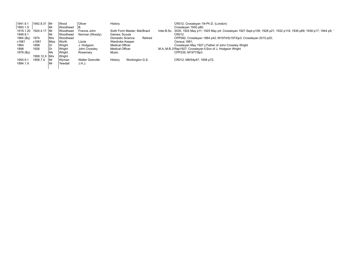| 1941.9.1  | 1942.8.31 Mr    |       | <b>Wood</b>     | <b>Oliver</b>           | History                       | CR012; Crossleyan 19 <sup>z</sup> Ph.D. (London)                                |
|-----------|-----------------|-------|-----------------|-------------------------|-------------------------------|---------------------------------------------------------------------------------|
| 1893.1.X  |                 | Mı    | Woodhead        | IB.                     |                               | Crossleyan 1930 p85;                                                            |
| 1919.1.20 | 1924.4.17 Mr    |       | <b>Woodhead</b> | Francis John            | Sixth Form Master; Mat Brazil | Inter.B.Sc. 3035, 1924 May p11; 1925 May p4; Crossleyan 1927 Sept p109; 1928 p2 |
| 1948.9.1  |                 | Mr    | Woodhead        | Norman (Woody)          | Games; Scouts                 | CR012                                                                           |
| 1964 (By) | 1974            | Mrs   | <b>Woodhead</b> |                         | Retired<br>Domestic Science   | CPP082; Crossleyan 1964 p42; M1974/5(1974)p3; Crossleyan 2010 p20;              |
| c1881     | c1881           | Miss! | lWorth          | Lizzie                  | Wardrobe Keeper               | Census 1881:                                                                    |
| 1864      | 1898            | lDr   | <b>Wright</b>   | J. Hodgson              | <b>Medical Officer</b>        | Crossleyan May 1927 r Father of John Crossley Wright                            |
| 1898      | 1926            | Dr    | Wright          | John Crossley           | <b>Medical Officer</b>        | M.A., M.B., E Rep1927; Crossleyan N Son of J. Hodgson Wright                    |
| 1978 (By) |                 | lMs   | <b>Wright</b>   | Rosemary                | Music                         | CPP235; M1977/8p3                                                               |
|           | 1958.12.X   Mrs |       | Wright          |                         |                               |                                                                                 |
| 1954.9.1  | 1958.7.X        | 1Mr   | Wyman           | <b>Walter Grenville</b> | Workington G.S.<br>History    | CR012; M9/54p47; 1958 p72;                                                      |
| 1894.1.X  |                 | Mr    | Yewdall         | J.H.J.                  |                               |                                                                                 |
|           |                 |       |                 |                         |                               |                                                                                 |

1921; 1932 p118; 1936 p89; 1938 p17; 1944 p9; 1 $^{\prime}$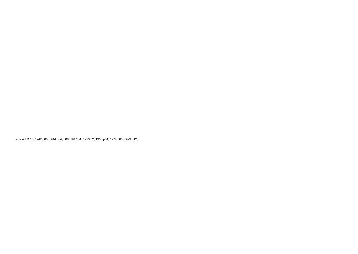article 4.3.10; 1942 p65; 1944 p34; p60; 1947 p4; 1953 p2; 1956 p34; 1974 p65; 1993 p12;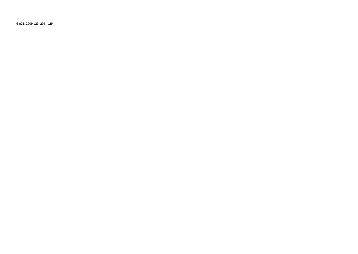18 p21; 2009 p29; 2011 p29;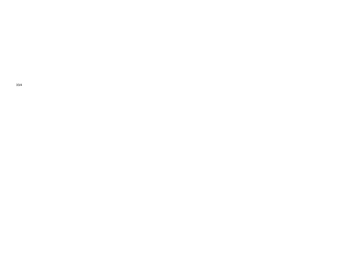$\sim$  33/4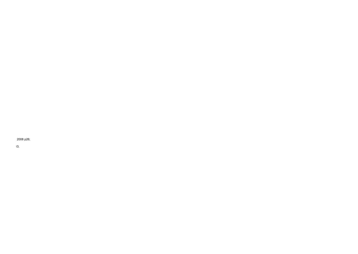$2008 p26;$ 

 $33;$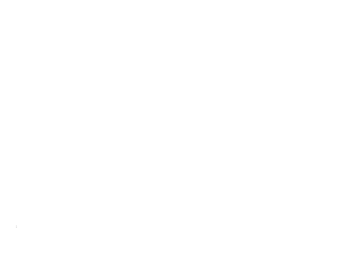Census 1901; Census 1911; 1297; R1897; Crossleyan 1938 p16; 1940 p47; 1958 p57; 1974 p46;1994 p31; 2001 p36;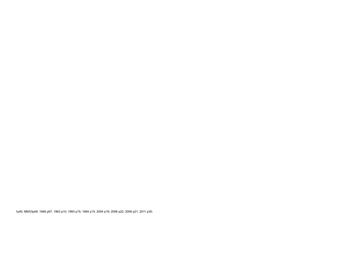1p40; M9/53p49; 1946 p67; 1963 p10; 1993 p15; 1994 p15; 2004 p19; 2008 p22; 2009 p21; 2011 p30;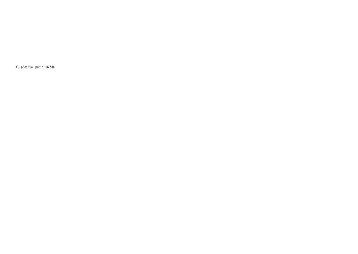130 p63; 1940 p68; 1956 p34;